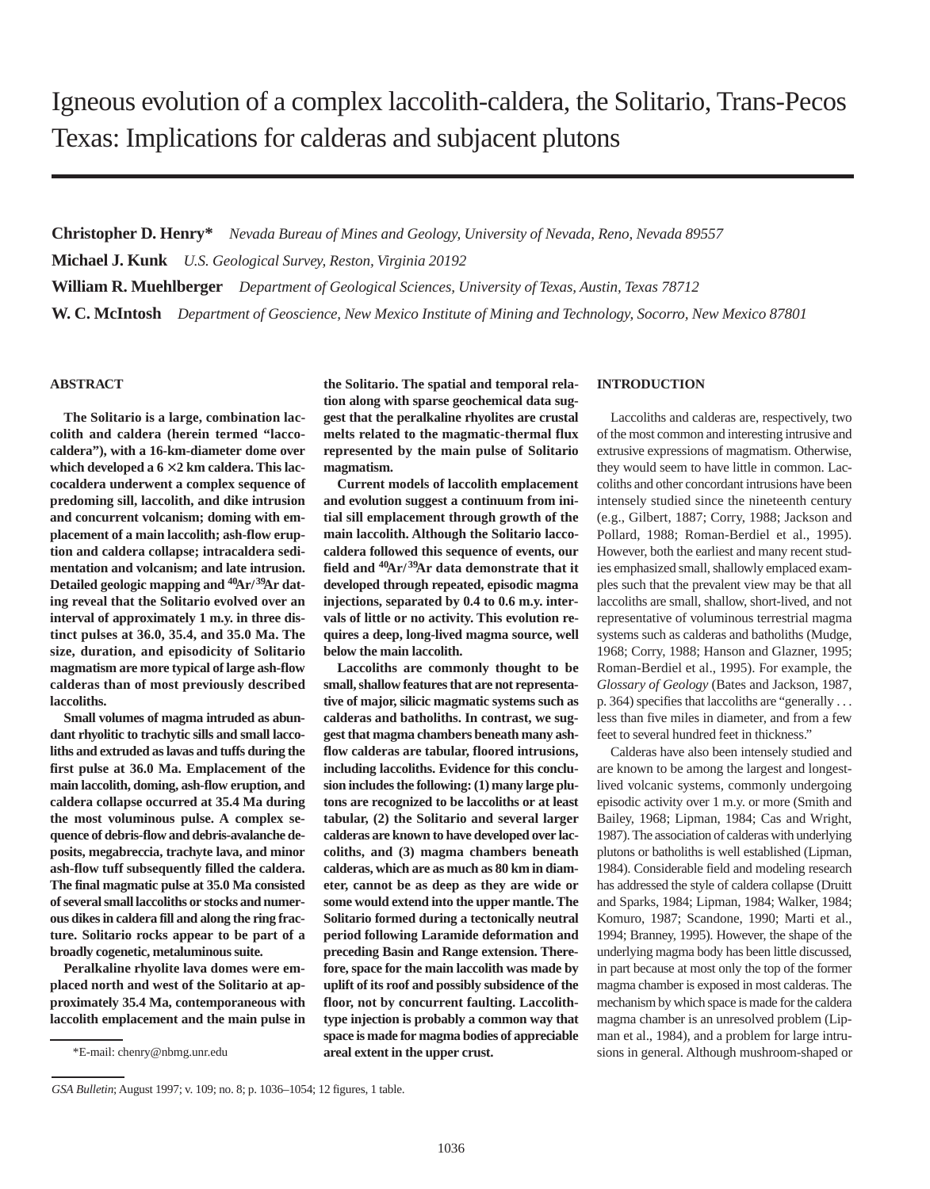**Christopher D. Henry\*** *Nevada Bureau of Mines and Geology, University of Nevada, Reno, Nevada 89557* **Michael J. Kunk** *U.S. Geological Survey, Reston, Virginia 20192* **William R. Muehlberger** *Department of Geological Sciences, University of Texas, Austin, Texas 78712* **W. C. McIntosh** *Department of Geoscience, New Mexico Institute of Mining and Technology, Socorro, New Mexico 87801*

### **ABSTRACT**

**The Solitario is a large, combination laccolith and caldera (herein termed "laccocaldera"), with a 16-km-diameter dome over which developed a 6** × **2 km caldera. This laccocaldera underwent a complex sequence of predoming sill, laccolith, and dike intrusion and concurrent volcanism; doming with emplacement of a main laccolith; ash-flow eruption and caldera collapse; intracaldera sedimentation and volcanism; and late intrusion. Detailed geologic mapping and 40Ar/ 39Ar dating reveal that the Solitario evolved over an interval of approximately 1 m.y. in three distinct pulses at 36.0, 35.4, and 35.0 Ma. The size, duration, and episodicity of Solitario magmatism are more typical of large ash-flow calderas than of most previously described laccoliths.**

**Small volumes of magma intruded as abundant rhyolitic to trachytic sills and small laccoliths and extruded as lavas and tuffs during the first pulse at 36.0 Ma. Emplacement of the main laccolith, doming, ash-flow eruption, and caldera collapse occurred at 35.4 Ma during the most voluminous pulse. A complex sequence of debris-flow and debris-avalanche deposits, megabreccia, trachyte lava, and minor ash-flow tuff subsequently filled the caldera. The final magmatic pulse at 35.0 Ma consisted of several small laccoliths or stocks and numerous dikes in caldera fill and along the ring fracture. Solitario rocks appear to be part of a broadly cogenetic, metaluminous suite.**

**Peralkaline rhyolite lava domes were emplaced north and west of the Solitario at approximately 35.4 Ma, contemporaneous with laccolith emplacement and the main pulse in** **the Solitario. The spatial and temporal relation along with sparse geochemical data suggest that the peralkaline rhyolites are crustal melts related to the magmatic-thermal flux represented by the main pulse of Solitario magmatism.**

**Current models of laccolith emplacement and evolution suggest a continuum from initial sill emplacement through growth of the main laccolith. Although the Solitario laccocaldera followed this sequence of events, our field and 40Ar/ 39Ar data demonstrate that it developed through repeated, episodic magma injections, separated by 0.4 to 0.6 m.y. intervals of little or no activity. This evolution requires a deep, long-lived magma source, well below the main laccolith.**

**Laccoliths are commonly thought to be small, shallow features that are not representative of major, silicic magmatic systems such as calderas and batholiths. In contrast, we suggest that magma chambers beneath many ashflow calderas are tabular, floored intrusions, including laccoliths. Evidence for this conclusion includes the following: (1) many large plutons are recognized to be laccoliths or at least tabular, (2) the Solitario and several larger calderas are known to have developed over laccoliths, and (3) magma chambers beneath calderas, which are as much as 80 km in diameter, cannot be as deep as they are wide or some would extend into the upper mantle. The Solitario formed during a tectonically neutral period following Laramide deformation and preceding Basin and Range extension. Therefore, space for the main laccolith was made by uplift of its roof and possibly subsidence of the floor, not by concurrent faulting. Laccolithtype injection is probably a common way that space is made for magma bodies of appreciable areal extent in the upper crust.**

#### **INTRODUCTION**

Laccoliths and calderas are, respectively, two of the most common and interesting intrusive and extrusive expressions of magmatism. Otherwise, they would seem to have little in common. Laccoliths and other concordant intrusions have been intensely studied since the nineteenth century (e.g., Gilbert, 1887; Corry, 1988; Jackson and Pollard, 1988; Roman-Berdiel et al., 1995). However, both the earliest and many recent studies emphasized small, shallowly emplaced examples such that the prevalent view may be that all laccoliths are small, shallow, short-lived, and not representative of voluminous terrestrial magma systems such as calderas and batholiths (Mudge, 1968; Corry, 1988; Hanson and Glazner, 1995; Roman-Berdiel et al., 1995). For example, the *Glossary of Geology* (Bates and Jackson, 1987, p. 364) specifies that laccoliths are "generally . . . less than five miles in diameter, and from a few feet to several hundred feet in thickness."

Calderas have also been intensely studied and are known to be among the largest and longestlived volcanic systems, commonly undergoing episodic activity over 1 m.y. or more (Smith and Bailey, 1968; Lipman, 1984; Cas and Wright, 1987). The association of calderas with underlying plutons or batholiths is well established (Lipman, 1984). Considerable field and modeling research has addressed the style of caldera collapse (Druitt and Sparks, 1984; Lipman, 1984; Walker, 1984; Komuro, 1987; Scandone, 1990; Marti et al., 1994; Branney, 1995). However, the shape of the underlying magma body has been little discussed, in part because at most only the top of the former magma chamber is exposed in most calderas. The mechanism by which space is made for the caldera magma chamber is an unresolved problem (Lipman et al., 1984), and a problem for large intrusions in general. Although mushroom-shaped or

<sup>\*</sup>E-mail: chenry@nbmg.unr.edu

*GSA Bulletin*; August 1997; v. 109; no. 8; p. 1036–1054; 12 figures, 1 table.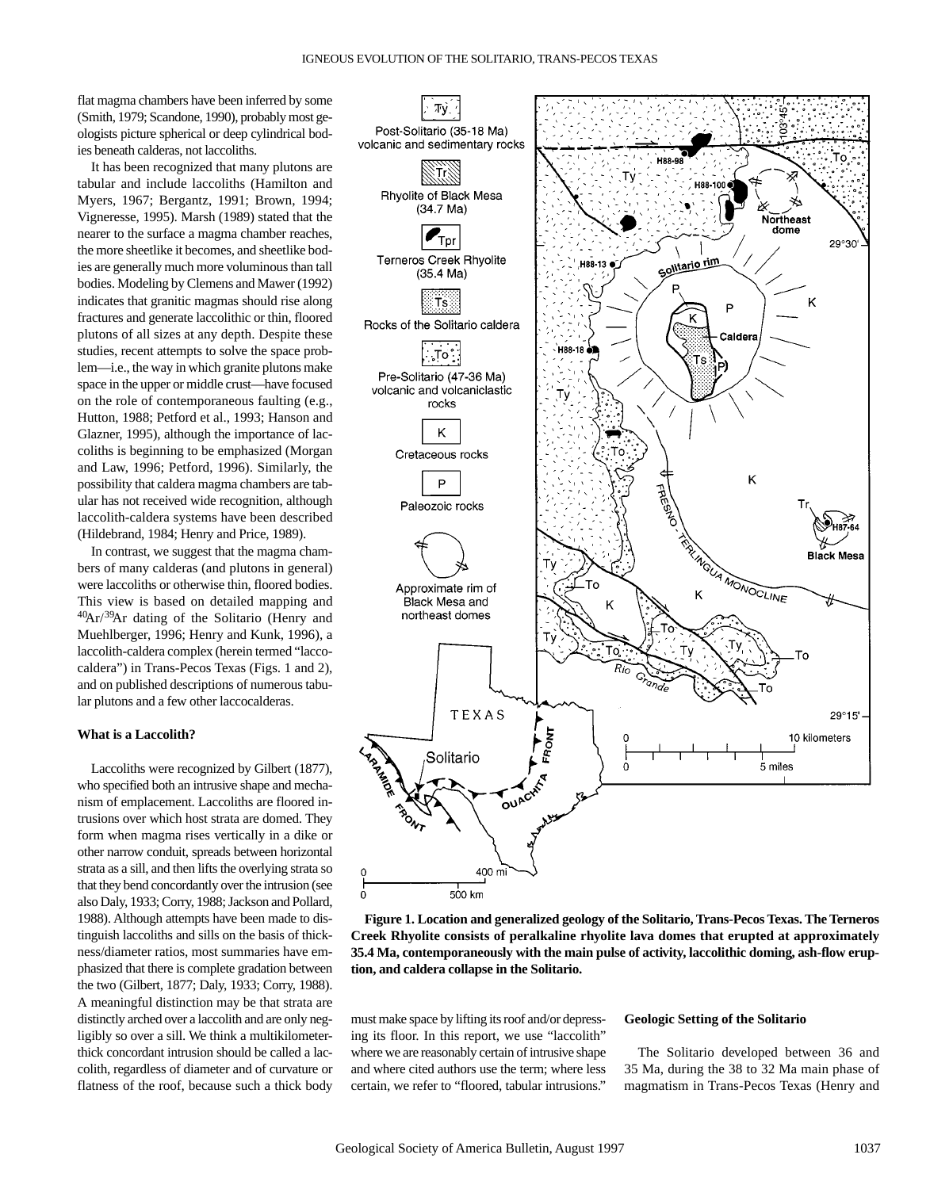flat magma chambers have been inferred by some (Smith, 1979; Scandone, 1990), probably most geologists picture spherical or deep cylindrical bodies beneath calderas, not laccoliths.

It has been recognized that many plutons are tabular and include laccoliths (Hamilton and Myers, 1967; Bergantz, 1991; Brown, 1994; Vigneresse, 1995). Marsh (1989) stated that the nearer to the surface a magma chamber reaches, the more sheetlike it becomes, and sheetlike bodies are generally much more voluminous than tall bodies. Modeling by Clemens and Mawer (1992) indicates that granitic magmas should rise along fractures and generate laccolithic or thin, floored plutons of all sizes at any depth. Despite these studies, recent attempts to solve the space problem—i.e., the way in which granite plutons make space in the upper or middle crust—have focused on the role of contemporaneous faulting (e.g., Hutton, 1988; Petford et al., 1993; Hanson and Glazner, 1995), although the importance of laccoliths is beginning to be emphasized (Morgan and Law, 1996; Petford, 1996). Similarly, the possibility that caldera magma chambers are tabular has not received wide recognition, although laccolith-caldera systems have been described (Hildebrand, 1984; Henry and Price, 1989).

In contrast, we suggest that the magma chambers of many calderas (and plutons in general) were laccoliths or otherwise thin, floored bodies. This view is based on detailed mapping and <sup>40</sup>Ar/<sup>39</sup>Ar dating of the Solitario (Henry and Muehlberger, 1996; Henry and Kunk, 1996), a laccolith-caldera complex (herein termed "laccocaldera") in Trans-Pecos Texas (Figs. 1 and 2), and on published descriptions of numerous tabular plutons and a few other laccocalderas.

## **What is a Laccolith?**

Laccoliths were recognized by Gilbert (1877), who specified both an intrusive shape and mechanism of emplacement. Laccoliths are floored intrusions over which host strata are domed. They form when magma rises vertically in a dike or other narrow conduit, spreads between horizontal strata as a sill, and then lifts the overlying strata so that they bend concordantly over the intrusion (see also Daly, 1933; Corry, 1988; Jackson and Pollard, 1988). Although attempts have been made to distinguish laccoliths and sills on the basis of thickness/diameter ratios, most summaries have emphasized that there is complete gradation between the two (Gilbert, 1877; Daly, 1933; Corry, 1988). A meaningful distinction may be that strata are distinctly arched over a laccolith and are only negligibly so over a sill. We think a multikilometerthick concordant intrusion should be called a laccolith, regardless of diameter and of curvature or flatness of the roof, because such a thick body



**Figure 1. Location and generalized geology of the Solitario, Trans-Pecos Texas. The Terneros Creek Rhyolite consists of peralkaline rhyolite lava domes that erupted at approximately 35.4 Ma, contemporaneously with the main pulse of activity, laccolithic doming, ash-flow eruption, and caldera collapse in the Solitario.**

must make space by lifting its roof and/or depressing its floor. In this report, we use "laccolith" where we are reasonably certain of intrusive shape and where cited authors use the term; where less certain, we refer to "floored, tabular intrusions."

#### **Geologic Setting of the Solitario**

The Solitario developed between 36 and 35 Ma, during the 38 to 32 Ma main phase of magmatism in Trans-Pecos Texas (Henry and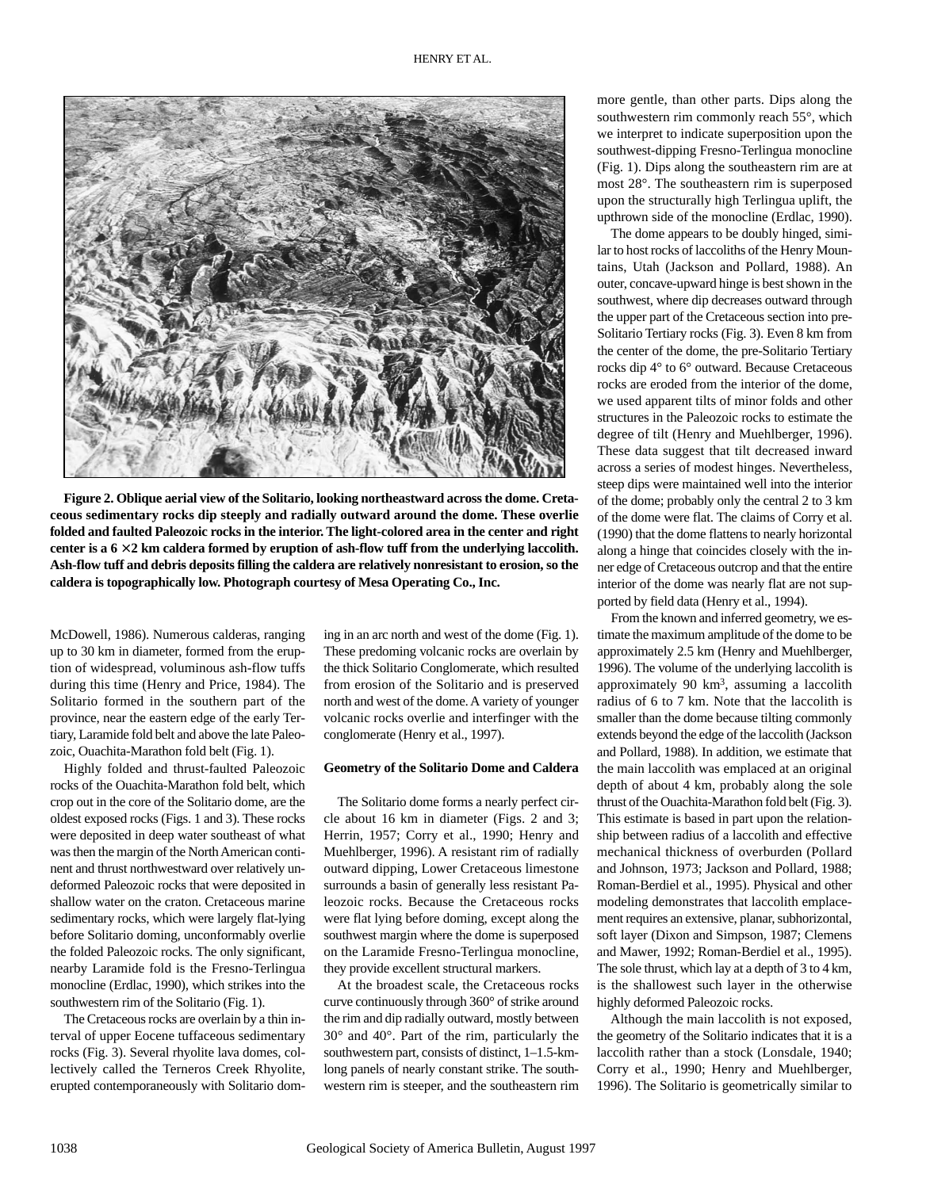

**Figure 2. Oblique aerial view of the Solitario, looking northeastward across the dome. Cretaceous sedimentary rocks dip steeply and radially outward around the dome. These overlie folded and faulted Paleozoic rocks in the interior. The light-colored area in the center and right** center is a  $6 \times 2$  km caldera formed by eruption of ash-flow tuff from the underlying laccolith. **Ash-flow tuff and debris deposits filling the caldera are relatively nonresistant to erosion,so the caldera is topographically low. Photograph courtesy of Mesa Operating Co., Inc.**

McDowell, 1986). Numerous calderas, ranging up to 30 km in diameter, formed from the eruption of widespread, voluminous ash-flow tuffs during this time (Henry and Price, 1984). The Solitario formed in the southern part of the province, near the eastern edge of the early Tertiary, Laramide fold belt and above the late Paleozoic, Ouachita-Marathon fold belt (Fig. 1).

Highly folded and thrust-faulted Paleozoic rocks of the Ouachita-Marathon fold belt, which crop out in the core of the Solitario dome, are the oldest exposed rocks (Figs. 1 and 3). These rocks were deposited in deep water southeast of what was then the margin of the North American continent and thrust northwestward over relatively undeformed Paleozoic rocks that were deposited in shallow water on the craton. Cretaceous marine sedimentary rocks, which were largely flat-lying before Solitario doming, unconformably overlie the folded Paleozoic rocks. The only significant, nearby Laramide fold is the Fresno-Terlingua monocline (Erdlac, 1990), which strikes into the southwestern rim of the Solitario (Fig. 1).

The Cretaceous rocks are overlain by a thin interval of upper Eocene tuffaceous sedimentary rocks (Fig. 3). Several rhyolite lava domes, collectively called the Terneros Creek Rhyolite, erupted contemporaneously with Solitario doming in an arc north and west of the dome (Fig. 1). These predoming volcanic rocks are overlain by the thick Solitario Conglomerate, which resulted from erosion of the Solitario and is preserved north and west of the dome. A variety of younger volcanic rocks overlie and interfinger with the conglomerate (Henry et al., 1997).

## **Geometry of the Solitario Dome and Caldera**

The Solitario dome forms a nearly perfect circle about 16 km in diameter (Figs. 2 and 3; Herrin, 1957; Corry et al., 1990; Henry and Muehlberger, 1996). A resistant rim of radially outward dipping, Lower Cretaceous limestone surrounds a basin of generally less resistant Paleozoic rocks. Because the Cretaceous rocks were flat lying before doming, except along the southwest margin where the dome is superposed on the Laramide Fresno-Terlingua monocline, they provide excellent structural markers.

At the broadest scale, the Cretaceous rocks curve continuously through 360° of strike around the rim and dip radially outward, mostly between 30° and 40°. Part of the rim, particularly the southwestern part, consists of distinct, 1–1.5-kmlong panels of nearly constant strike. The southwestern rim is steeper, and the southeastern rim more gentle, than other parts. Dips along the southwestern rim commonly reach 55°, which we interpret to indicate superposition upon the southwest-dipping Fresno-Terlingua monocline (Fig. 1). Dips along the southeastern rim are at most 28°. The southeastern rim is superposed upon the structurally high Terlingua uplift, the upthrown side of the monocline (Erdlac, 1990).

The dome appears to be doubly hinged, similar to host rocks of laccoliths of the Henry Mountains, Utah (Jackson and Pollard, 1988). An outer, concave-upward hinge is best shown in the southwest, where dip decreases outward through the upper part of the Cretaceous section into pre-Solitario Tertiary rocks (Fig. 3). Even 8 km from the center of the dome, the pre-Solitario Tertiary rocks dip 4° to 6° outward. Because Cretaceous rocks are eroded from the interior of the dome, we used apparent tilts of minor folds and other structures in the Paleozoic rocks to estimate the degree of tilt (Henry and Muehlberger, 1996). These data suggest that tilt decreased inward across a series of modest hinges. Nevertheless, steep dips were maintained well into the interior of the dome; probably only the central 2 to 3 km of the dome were flat. The claims of Corry et al. (1990) that the dome flattens to nearly horizontal along a hinge that coincides closely with the inner edge of Cretaceous outcrop and that the entire interior of the dome was nearly flat are not supported by field data (Henry et al., 1994).

From the known and inferred geometry, we estimate the maximum amplitude of the dome to be approximately 2.5 km (Henry and Muehlberger, 1996). The volume of the underlying laccolith is approximately 90  $km^3$ , assuming a laccolith radius of 6 to 7 km. Note that the laccolith is smaller than the dome because tilting commonly extends beyond the edge of the laccolith (Jackson and Pollard, 1988). In addition, we estimate that the main laccolith was emplaced at an original depth of about 4 km, probably along the sole thrust of the Ouachita-Marathon fold belt (Fig. 3). This estimate is based in part upon the relationship between radius of a laccolith and effective mechanical thickness of overburden (Pollard and Johnson, 1973; Jackson and Pollard, 1988; Roman-Berdiel et al., 1995). Physical and other modeling demonstrates that laccolith emplacement requires an extensive, planar, subhorizontal, soft layer (Dixon and Simpson, 1987; Clemens and Mawer, 1992; Roman-Berdiel et al., 1995). The sole thrust, which lay at a depth of 3 to 4 km, is the shallowest such layer in the otherwise highly deformed Paleozoic rocks.

Although the main laccolith is not exposed, the geometry of the Solitario indicates that it is a laccolith rather than a stock (Lonsdale, 1940; Corry et al., 1990; Henry and Muehlberger, 1996). The Solitario is geometrically similar to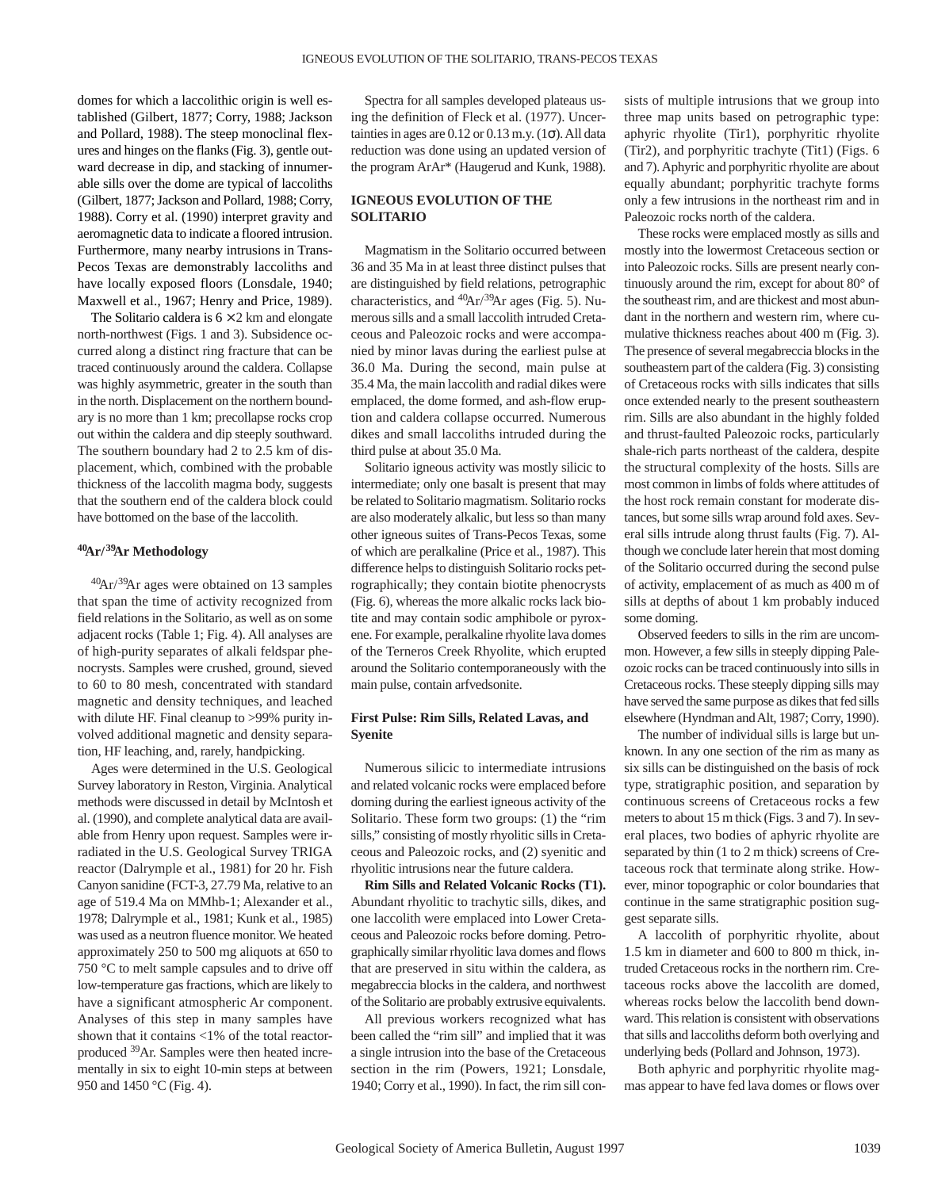domes for which a laccolithic origin is well established (Gilbert, 1877; Corry, 1988; Jackson and Pollard, 1988). The steep monoclinal flexures and hinges on the flanks (Fig. 3), gentle outward decrease in dip, and stacking of innumerable sills over the dome are typical of laccoliths (Gilbert, 1877; Jackson and Pollard, 1988; Corry, 1988). Corry et al. (1990) interpret gravity and aeromagnetic data to indicate a floored intrusion. Furthermore, many nearby intrusions in Trans-Pecos Texas are demonstrably laccoliths and have locally exposed floors (Lonsdale, 1940; Maxwell et al., 1967; Henry and Price, 1989).

The Solitario caldera is  $6 \times 2$  km and elongate north-northwest (Figs. 1 and 3). Subsidence occurred along a distinct ring fracture that can be traced continuously around the caldera. Collapse was highly asymmetric, greater in the south than in the north. Displacement on the northern boundary is no more than 1 km; precollapse rocks crop out within the caldera and dip steeply southward. The southern boundary had 2 to 2.5 km of displacement, which, combined with the probable thickness of the laccolith magma body, suggests that the southern end of the caldera block could have bottomed on the base of the laccolith.

## **40 Ar/ <sup>39</sup> Ar Methodology**

 $^{40}Ar/^{39}Ar$  ages were obtained on 13 samples that span the time of activity recognized from field relations in the Solitario, as well as on some adjacent rocks (Table 1; Fig. 4). All analyses are of high-purity separates of alkali feldspar phenocrysts. Samples were crushed, ground, sieved to 60 to 80 mesh, concentrated with standard magnetic and density techniques, and leached with dilute HF. Final cleanup to >99% purity involved additional magnetic and density separation, HF leaching, and, rarely, handpicking.

Ages were determined in the U.S. Geological Survey laboratory in Reston, Virginia. Analytical methods were discussed in detail by McIntosh et al. (1990), and complete analytical data are available from Henry upon request. Samples were irradiated in the U.S. Geological Survey TRIGA reactor (Dalrymple et al., 1981) for 20 hr. Fish Canyon sanidine (FCT-3, 27.79 Ma, relative to an age of 519.4 Ma on MMhb-1; Alexander et al., 1978; Dalrymple et al., 1981; Kunk et al., 1985) was used as a neutron fluence monitor. We heated approximately 250 to 500 mg aliquots at 650 to 750 °C to melt sample capsules and to drive off low-temperature gas fractions, which are likely to have a significant atmospheric Ar component. Analyses of this step in many samples have shown that it contains <1% of the total reactorproduced 39Ar. Samples were then heated incrementally in six to eight 10-min steps at between 950 and 1450 °C (Fig. 4).

Spectra for all samples developed plateaus using the definition of Fleck et al. (1977). Uncertainties in ages are  $0.12$  or  $0.13$  m.y.  $(1\sigma)$ . All data reduction was done using an updated version of the program ArAr\* (Haugerud and Kunk, 1988).

# **IGNEOUS EVOLUTION OF THE SOLITARIO**

Magmatism in the Solitario occurred between 36 and 35 Ma in at least three distinct pulses that are distinguished by field relations, petrographic characteristics, and <sup>40</sup>Ar/<sup>39</sup>Ar ages (Fig. 5). Numerous sills and a small laccolith intruded Cretaceous and Paleozoic rocks and were accompanied by minor lavas during the earliest pulse at 36.0 Ma. During the second, main pulse at 35.4 Ma, the main laccolith and radial dikes were emplaced, the dome formed, and ash-flow eruption and caldera collapse occurred. Numerous dikes and small laccoliths intruded during the third pulse at about 35.0 Ma.

Solitario igneous activity was mostly silicic to intermediate; only one basalt is present that may be related to Solitario magmatism. Solitario rocks are also moderately alkalic, but less so than many other igneous suites of Trans-Pecos Texas, some of which are peralkaline (Price et al., 1987). This difference helps to distinguish Solitario rocks petrographically; they contain biotite phenocrysts (Fig. 6), whereas the more alkalic rocks lack biotite and may contain sodic amphibole or pyroxene. For example, peralkaline rhyolite lava domes of the Terneros Creek Rhyolite, which erupted around the Solitario contemporaneously with the main pulse, contain arfvedsonite.

### **First Pulse: Rim Sills, Related Lavas, and Syenite**

Numerous silicic to intermediate intrusions and related volcanic rocks were emplaced before doming during the earliest igneous activity of the Solitario. These form two groups: (1) the "rim sills," consisting of mostly rhyolitic sills in Cretaceous and Paleozoic rocks, and (2) syenitic and rhyolitic intrusions near the future caldera.

**Rim Sills and Related Volcanic Rocks (T1).** Abundant rhyolitic to trachytic sills, dikes, and one laccolith were emplaced into Lower Cretaceous and Paleozoic rocks before doming. Petrographically similar rhyolitic lava domes and flows that are preserved in situ within the caldera, as megabreccia blocks in the caldera, and northwest of the Solitario are probably extrusive equivalents.

All previous workers recognized what has been called the "rim sill" and implied that it was a single intrusion into the base of the Cretaceous section in the rim (Powers, 1921; Lonsdale, 1940; Corry et al., 1990). In fact, the rim sill consists of multiple intrusions that we group into three map units based on petrographic type: aphyric rhyolite (Tir1), porphyritic rhyolite (Tir2), and porphyritic trachyte (Tit1) (Figs. 6 and 7). Aphyric and porphyritic rhyolite are about equally abundant; porphyritic trachyte forms only a few intrusions in the northeast rim and in Paleozoic rocks north of the caldera.

These rocks were emplaced mostly as sills and mostly into the lowermost Cretaceous section or into Paleozoic rocks. Sills are present nearly continuously around the rim, except for about 80° of the southeast rim, and are thickest and most abundant in the northern and western rim, where cumulative thickness reaches about 400 m (Fig. 3). The presence of several megabreccia blocks in the southeastern part of the caldera (Fig. 3) consisting of Cretaceous rocks with sills indicates that sills once extended nearly to the present southeastern rim. Sills are also abundant in the highly folded and thrust-faulted Paleozoic rocks, particularly shale-rich parts northeast of the caldera, despite the structural complexity of the hosts. Sills are most common in limbs of folds where attitudes of the host rock remain constant for moderate distances, but some sills wrap around fold axes. Several sills intrude along thrust faults (Fig. 7). Although we conclude later herein that most doming of the Solitario occurred during the second pulse of activity, emplacement of as much as 400 m of sills at depths of about 1 km probably induced some doming.

Observed feeders to sills in the rim are uncommon. However, a few sills in steeply dipping Paleozoic rocks can be traced continuously into sills in Cretaceous rocks. These steeply dipping sills may have served the same purpose as dikes that fed sills elsewhere (Hyndman and Alt, 1987; Corry, 1990).

The number of individual sills is large but unknown. In any one section of the rim as many as six sills can be distinguished on the basis of rock type, stratigraphic position, and separation by continuous screens of Cretaceous rocks a few meters to about 15 m thick (Figs. 3 and 7). In several places, two bodies of aphyric rhyolite are separated by thin (1 to 2 m thick) screens of Cretaceous rock that terminate along strike. However, minor topographic or color boundaries that continue in the same stratigraphic position suggest separate sills.

A laccolith of porphyritic rhyolite, about 1.5 km in diameter and 600 to 800 m thick, intruded Cretaceous rocks in the northern rim. Cretaceous rocks above the laccolith are domed, whereas rocks below the laccolith bend downward. This relation is consistent with observations that sills and laccoliths deform both overlying and underlying beds (Pollard and Johnson, 1973).

Both aphyric and porphyritic rhyolite magmas appear to have fed lava domes or flows over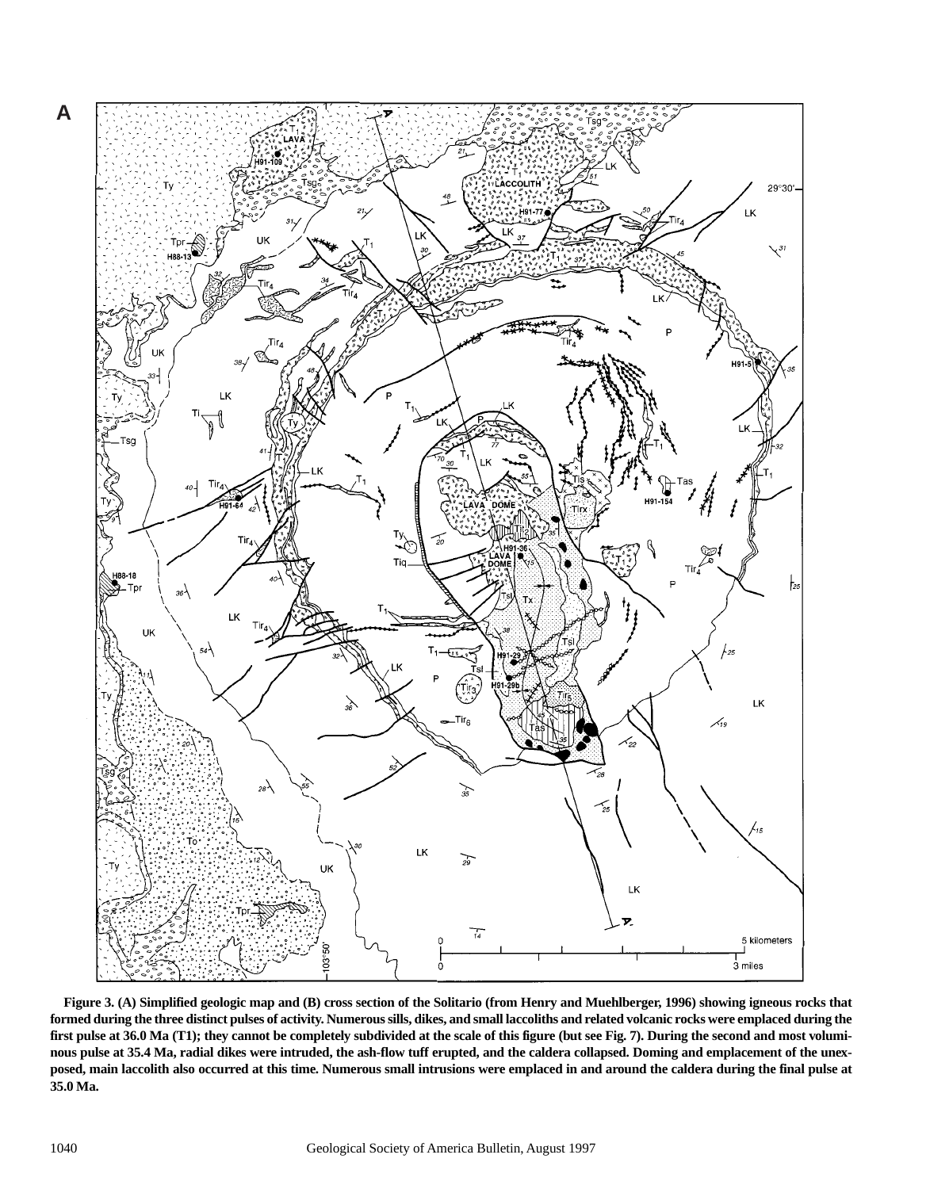

**Figure 3. (A) Simplified geologic map and (B) cross section of the Solitario (from Henry and Muehlberger, 1996) showing igneous rocks that formed during the three distinct pulses of activity. Numerous sills, dikes, and small laccoliths and related volcanic rocks were emplaced during the first pulse at 36.0 Ma (T1); they cannot be completely subdivided at the scale of this figure (but see Fig. 7). During the second and most voluminous pulse at 35.4 Ma, radial dikes were intruded, the ash-flow tuff erupted, and the caldera collapsed. Doming and emplacement of the unexposed, main laccolith also occurred at this time. Numerous small intrusions were emplaced in and around the caldera during the final pulse at 35.0 Ma.**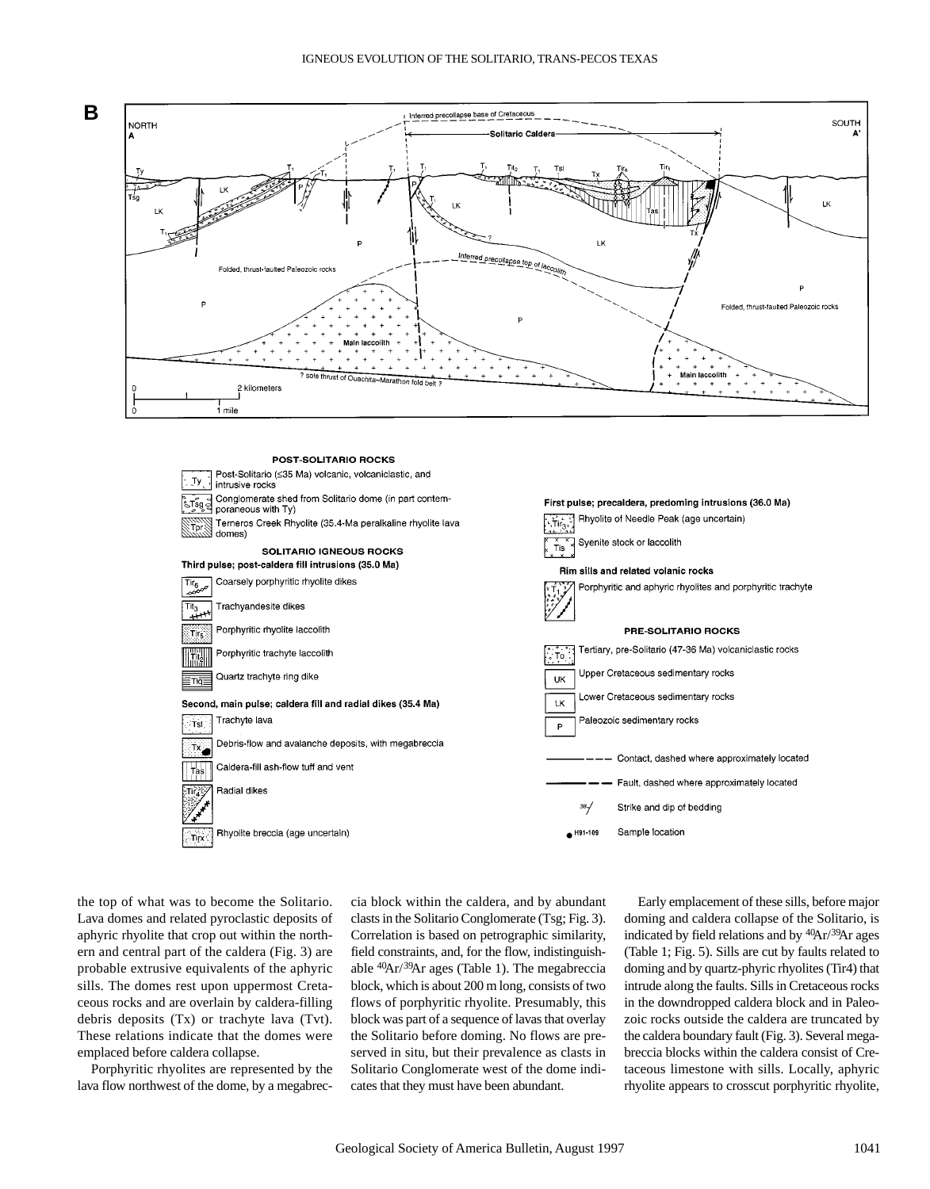



the top of what was to become the Solitario. Lava domes and related pyroclastic deposits of aphyric rhyolite that crop out within the northern and central part of the caldera (Fig. 3) are probable extrusive equivalents of the aphyric sills. The domes rest upon uppermost Cretaceous rocks and are overlain by caldera-filling debris deposits (Tx) or trachyte lava (Tvt). These relations indicate that the domes were emplaced before caldera collapse.

Porphyritic rhyolites are represented by the lava flow northwest of the dome, by a megabreccia block within the caldera, and by abundant clasts in the Solitario Conglomerate (Tsg; Fig. 3). Correlation is based on petrographic similarity, field constraints, and, for the flow, indistinguishable <sup>40</sup>Ar/<sup>39</sup>Ar ages (Table 1). The megabreccia block, which is about 200 m long, consists of two flows of porphyritic rhyolite. Presumably, this block was part of a sequence of lavas that overlay the Solitario before doming. No flows are preserved in situ, but their prevalence as clasts in Solitario Conglomerate west of the dome indicates that they must have been abundant.

Early emplacement of these sills, before major doming and caldera collapse of the Solitario, is indicated by field relations and by  ${}^{40}Ar/{}^{39}Ar$  ages (Table 1; Fig. 5). Sills are cut by faults related to doming and by quartz-phyric rhyolites (Tir4) that intrude along the faults. Sills in Cretaceous rocks in the downdropped caldera block and in Paleozoic rocks outside the caldera are truncated by the caldera boundary fault (Fig. 3). Several megabreccia blocks within the caldera consist of Cretaceous limestone with sills. Locally, aphyric rhyolite appears to crosscut porphyritic rhyolite,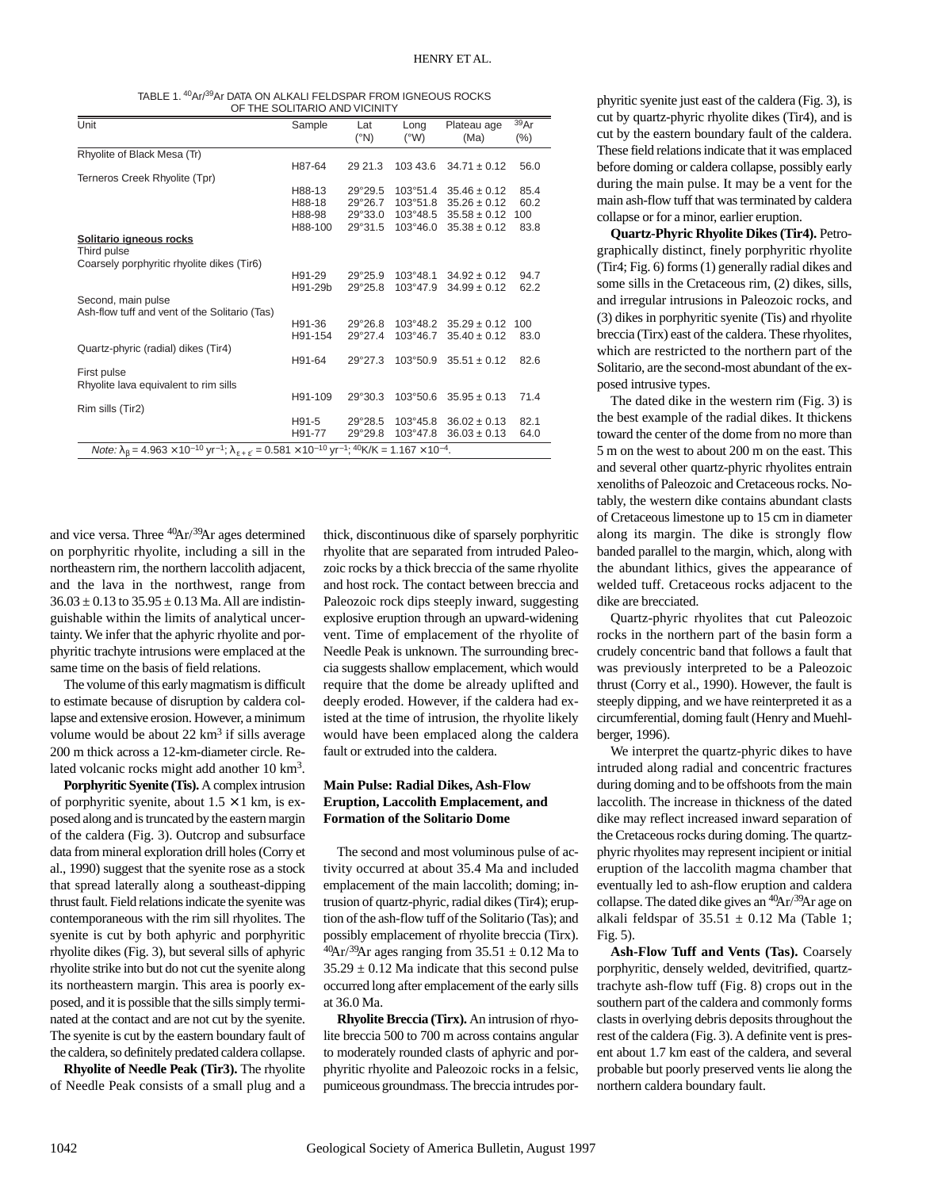TABLE 1. 40Ar/39Ar DATA ON ALKALI FELDSPAR FROM IGNEOUS ROCKS OF THE SOLITARIO AND VICINITY

| Unit                                                                                                                                                                                           | Sample          | Lat     | Lona              | Plateau age      | 39Ar |
|------------------------------------------------------------------------------------------------------------------------------------------------------------------------------------------------|-----------------|---------|-------------------|------------------|------|
|                                                                                                                                                                                                |                 | (°N)    | $(W^{\circ})$     | (Ma)             | (%)  |
| Rhyolite of Black Mesa (Tr)                                                                                                                                                                    |                 |         |                   |                  |      |
|                                                                                                                                                                                                | H87-64          | 29 21.3 | 103 43.6          | $34.71 \pm 0.12$ | 56.0 |
| Terneros Creek Rhyolite (Tpr)                                                                                                                                                                  |                 |         |                   |                  |      |
|                                                                                                                                                                                                | H88-13          | 29°29.5 | 103°51.4          | $35.46 \pm 0.12$ | 85.4 |
|                                                                                                                                                                                                | H88-18          | 29°26.7 | 103°51.8          | $35.26 \pm 0.12$ | 60.2 |
|                                                                                                                                                                                                | H88-98          | 29°33.0 | $103^{\circ}48.5$ | $35.58 \pm 0.12$ | 100  |
|                                                                                                                                                                                                | H88-100         | 29°31.5 | 103°46.0          | $35.38 \pm 0.12$ | 83.8 |
| Solitario igneous rocks                                                                                                                                                                        |                 |         |                   |                  |      |
| Third pulse                                                                                                                                                                                    |                 |         |                   |                  |      |
| Coarsely porphyritic rhyolite dikes (Tir6)                                                                                                                                                     |                 |         |                   |                  |      |
|                                                                                                                                                                                                | H91-29          | 29°25.9 | 103°48.1          | $34.92 \pm 0.12$ | 94.7 |
|                                                                                                                                                                                                | H91-29b         | 29°25.8 | 103°47.9          | $34.99 \pm 0.12$ | 62.2 |
| Second, main pulse                                                                                                                                                                             |                 |         |                   |                  |      |
| Ash-flow tuff and vent of the Solitario (Tas)                                                                                                                                                  |                 |         |                   |                  |      |
|                                                                                                                                                                                                | H91-36          | 29°26.8 | 103°48.2          | $35.29 \pm 0.12$ | 100  |
|                                                                                                                                                                                                | H91-154         | 29°27.4 | 103°46.7          | $35.40 \pm 0.12$ | 83.0 |
| Quartz-phyric (radial) dikes (Tir4)                                                                                                                                                            |                 |         |                   |                  |      |
|                                                                                                                                                                                                | H91-64          | 29°27.3 | 103°50.9          | $35.51 \pm 0.12$ | 82.6 |
| First pulse                                                                                                                                                                                    |                 |         |                   |                  |      |
| Rhyolite lava equivalent to rim sills                                                                                                                                                          |                 |         |                   |                  |      |
|                                                                                                                                                                                                | H91-109         | 29°30.3 | 103°50.6          | $35.95 \pm 0.13$ | 71.4 |
| Rim sills (Tir2)                                                                                                                                                                               |                 |         |                   |                  |      |
|                                                                                                                                                                                                | H91-5<br>H91-77 | 29°28.5 | $103^{\circ}45.8$ | $36.02 \pm 0.13$ | 82.1 |
|                                                                                                                                                                                                |                 | 29°29.8 | 103°47.8          | $36.03 \pm 0.13$ | 64.0 |
| <i>Note:</i> $\lambda_B = 4.963 \times 10^{-10}$ yr <sup>-1</sup> ; $\lambda_{\epsilon + \epsilon'} = 0.581 \times 10^{-10}$ yr <sup>-1</sup> ; <sup>40</sup> K/K = 1.167 × 10 <sup>-4</sup> . |                 |         |                   |                  |      |

and vice versa. Three <sup>40</sup>Ar/<sup>39</sup>Ar ages determined on porphyritic rhyolite, including a sill in the northeastern rim, the northern laccolith adjacent, and the lava in the northwest, range from  $36.03 \pm 0.13$  to  $35.95 \pm 0.13$  Ma. All are indistinguishable within the limits of analytical uncertainty. We infer that the aphyric rhyolite and porphyritic trachyte intrusions were emplaced at the same time on the basis of field relations.

The volume of this early magmatism is difficult to estimate because of disruption by caldera collapse and extensive erosion. However, a minimum volume would be about  $22 \text{ km}^3$  if sills average 200 m thick across a 12-km-diameter circle. Related volcanic rocks might add another 10 km3.

**Porphyritic Syenite (Tis).** A complex intrusion of porphyritic syenite, about  $1.5 \times 1$  km, is exposed along and is truncated by the eastern margin of the caldera (Fig. 3). Outcrop and subsurface data from mineral exploration drill holes (Corry et al., 1990) suggest that the syenite rose as a stock that spread laterally along a southeast-dipping thrust fault. Field relations indicate the syenite was contemporaneous with the rim sill rhyolites. The syenite is cut by both aphyric and porphyritic rhyolite dikes (Fig. 3), but several sills of aphyric rhyolite strike into but do not cut the syenite along its northeastern margin. This area is poorly exposed, and it is possible that the sills simply terminated at the contact and are not cut by the syenite. The syenite is cut by the eastern boundary fault of the caldera, so definitely predated caldera collapse.

**Rhyolite of Needle Peak (Tir3).** The rhyolite of Needle Peak consists of a small plug and a thick, discontinuous dike of sparsely porphyritic rhyolite that are separated from intruded Paleozoic rocks by a thick breccia of the same rhyolite and host rock. The contact between breccia and Paleozoic rock dips steeply inward, suggesting explosive eruption through an upward-widening vent. Time of emplacement of the rhyolite of Needle Peak is unknown. The surrounding breccia suggests shallow emplacement, which would require that the dome be already uplifted and deeply eroded. However, if the caldera had existed at the time of intrusion, the rhyolite likely would have been emplaced along the caldera fault or extruded into the caldera.

# **Main Pulse: Radial Dikes, Ash-Flow Eruption, Laccolith Emplacement, and Formation of the Solitario Dome**

The second and most voluminous pulse of activity occurred at about 35.4 Ma and included emplacement of the main laccolith; doming; intrusion of quartz-phyric, radial dikes (Tir4); eruption of the ash-flow tuff of the Solitario (Tas); and possibly emplacement of rhyolite breccia (Tirx).  $^{40}Ar/^{39}Ar$  ages ranging from 35.51  $\pm$  0.12 Ma to  $35.29 \pm 0.12$  Ma indicate that this second pulse occurred long after emplacement of the early sills at 36.0 Ma.

**Rhyolite Breccia (Tirx).** An intrusion of rhyolite breccia 500 to 700 m across contains angular to moderately rounded clasts of aphyric and porphyritic rhyolite and Paleozoic rocks in a felsic, pumiceous groundmass. The breccia intrudes porphyritic syenite just east of the caldera (Fig. 3), is cut by quartz-phyric rhyolite dikes (Tir4), and is cut by the eastern boundary fault of the caldera. These field relations indicate that it was emplaced before doming or caldera collapse, possibly early during the main pulse. It may be a vent for the main ash-flow tuff that was terminated by caldera collapse or for a minor, earlier eruption.

**Quartz-Phyric Rhyolite Dikes (Tir4).** Petrographically distinct, finely porphyritic rhyolite (Tir4; Fig. 6) forms (1) generally radial dikes and some sills in the Cretaceous rim, (2) dikes, sills, and irregular intrusions in Paleozoic rocks, and (3) dikes in porphyritic syenite (Tis) and rhyolite breccia (Tirx) east of the caldera. These rhyolites, which are restricted to the northern part of the Solitario, are the second-most abundant of the exposed intrusive types.

The dated dike in the western rim (Fig. 3) is the best example of the radial dikes. It thickens toward the center of the dome from no more than 5 m on the west to about 200 m on the east. This and several other quartz-phyric rhyolites entrain xenoliths of Paleozoic and Cretaceous rocks. Notably, the western dike contains abundant clasts of Cretaceous limestone up to 15 cm in diameter along its margin. The dike is strongly flow banded parallel to the margin, which, along with the abundant lithics, gives the appearance of welded tuff. Cretaceous rocks adjacent to the dike are brecciated.

Quartz-phyric rhyolites that cut Paleozoic rocks in the northern part of the basin form a crudely concentric band that follows a fault that was previously interpreted to be a Paleozoic thrust (Corry et al., 1990). However, the fault is steeply dipping, and we have reinterpreted it as a circumferential, doming fault (Henry and Muehlberger, 1996).

We interpret the quartz-phyric dikes to have intruded along radial and concentric fractures during doming and to be offshoots from the main laccolith. The increase in thickness of the dated dike may reflect increased inward separation of the Cretaceous rocks during doming. The quartzphyric rhyolites may represent incipient or initial eruption of the laccolith magma chamber that eventually led to ash-flow eruption and caldera collapse. The dated dike gives an <sup>40</sup>Ar/<sup>39</sup>Ar age on alkali feldspar of  $35.51 \pm 0.12$  Ma (Table 1; Fig. 5).

**Ash-Flow Tuff and Vents (Tas).** Coarsely porphyritic, densely welded, devitrified, quartztrachyte ash-flow tuff (Fig. 8) crops out in the southern part of the caldera and commonly forms clasts in overlying debris deposits throughout the rest of the caldera (Fig. 3). A definite vent is present about 1.7 km east of the caldera, and several probable but poorly preserved vents lie along the northern caldera boundary fault.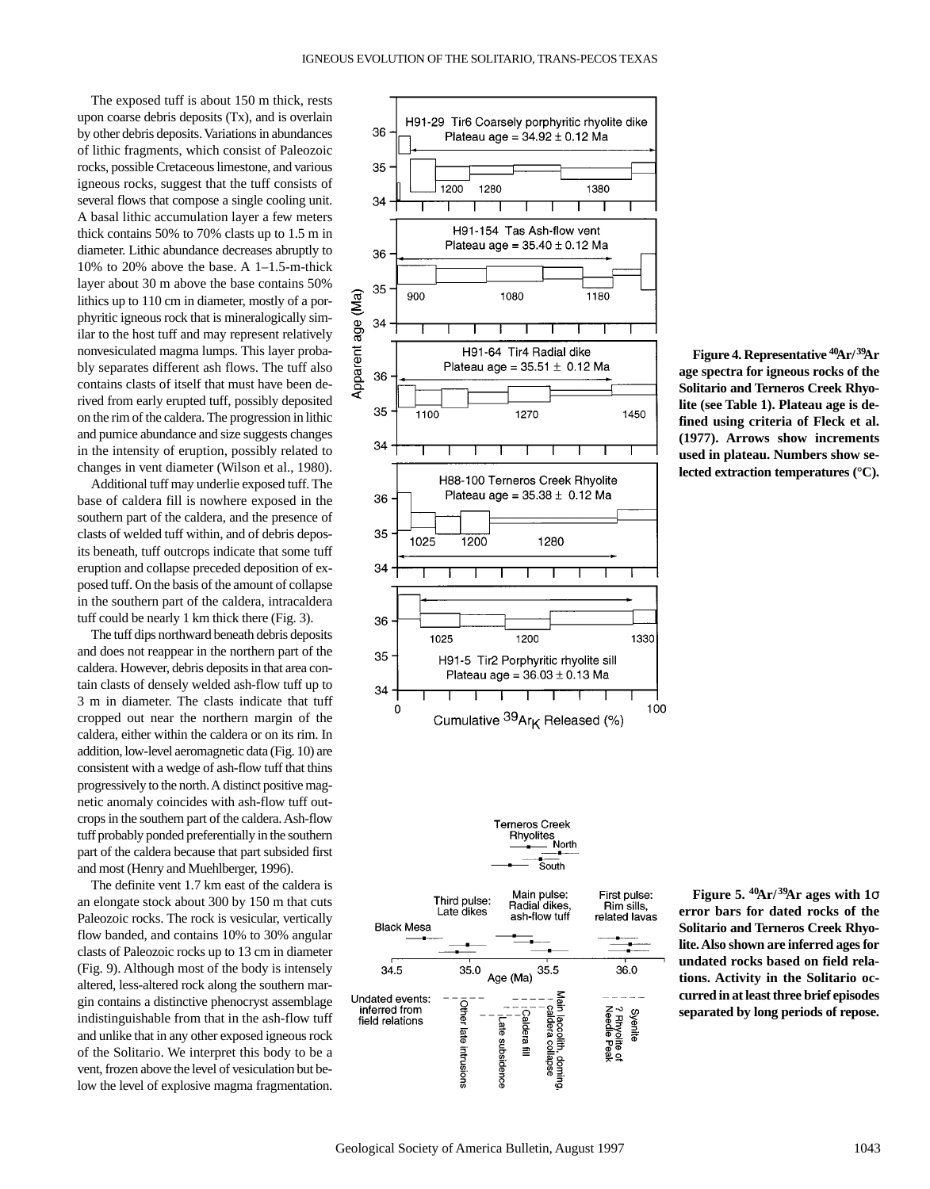The exposed tuff is about 150 m thick, rests upon coarse debris deposits (Tx), and is overlain by other debris deposits. Variations in abundances of lithic fragments, which consist of Paleozoic rocks, possible Cretaceous limestone, and various igneous rocks, suggest that the tuff consists of several flows that compose a single cooling unit. A basal lithic accumulation layer a few meters thick contains 50% to 70% clasts up to 1.5 m in diameter. Lithic abundance decreases abruptly to 10% to 20% above the base. A 1–1.5-m-thick layer about 30 m above the base contains 50% lithics up to 110 cm in diameter, mostly of a porphyritic igneous rock that is mineralogically similar to the host tuff and may represent relatively nonvesiculated magma lumps. This layer probably separates different ash flows. The tuff also contains clasts of itself that must have been derived from early erupted tuff, possibly deposited on the rim of the caldera. The progression in lithic and pumice abundance and size suggests changes in the intensity of eruption, possibly related to changes in vent diameter (Wilson et al., 1980).

Additional tuff may underlie exposed tuff. The base of caldera fill is nowhere exposed in the southern part of the caldera, and the presence of clasts of welded tuff within, and of debris deposits beneath, tuff outcrops indicate that some tuff eruption and collapse preceded deposition of exposed tuff. On the basis of the amount of collapse in the southern part of the caldera, intracaldera tuff could be nearly 1 km thick there (Fig. 3).

The tuff dips northward beneath debris deposits and does not reappear in the northern part of the caldera. However, debris deposits in that area contain clasts of densely welded ash-flow tuff up to 3 m in diameter. The clasts indicate that tuff cropped out near the northern margin of the caldera, either within the caldera or on its rim. In addition, low-level aeromagnetic data (Fig. 10) are consistent with a wedge of ash-flow tuff that thins progressively to the north. A distinct positive magnetic anomaly coincides with ash-flow tuff outcrops in the southern part of the caldera. Ash-flow tuff probably ponded preferentially in the southern part of the caldera because that part subsided first and most (Henry and Muehlberger, 1996).

The definite vent 1.7 km east of the caldera is an elongate stock about 300 by 150 m that cuts Paleozoic rocks. The rock is vesicular, vertically flow banded, and contains 10% to 30% angular clasts of Paleozoic rocks up to 13 cm in diameter (Fig. 9). Although most of the body is intensely altered, less-altered rock along the southern margin contains a distinctive phenocryst assemblage indistinguishable from that in the ash-flow tuff and unlike that in any other exposed igneous rock of the Solitario. We interpret this body to be a vent, frozen above the level of vesiculation but below the level of explosive magma fragmentation.



**Figure 4. Representative 40 Ar/<sup>39</sup> Ar age spectra for igneous rocks of the Solitario and Terneros Creek Rhyolite (see Table 1). Plateau age is defined using criteria of Fleck et al. (1977). Arrows show increments used in plateau. Numbers show selected extraction temperatures (°C).**



**Figure 5. <sup>40</sup> Ar/ <sup>39</sup> Ar ages with 1**σ **error bars for dated rocks of the Solitario and Terneros Creek Rhyolite. Also shown are inferred ages for undated rocks based on field relations. Activity in the Solitario occurred in at least three brief episodes separated by long periods of repose.**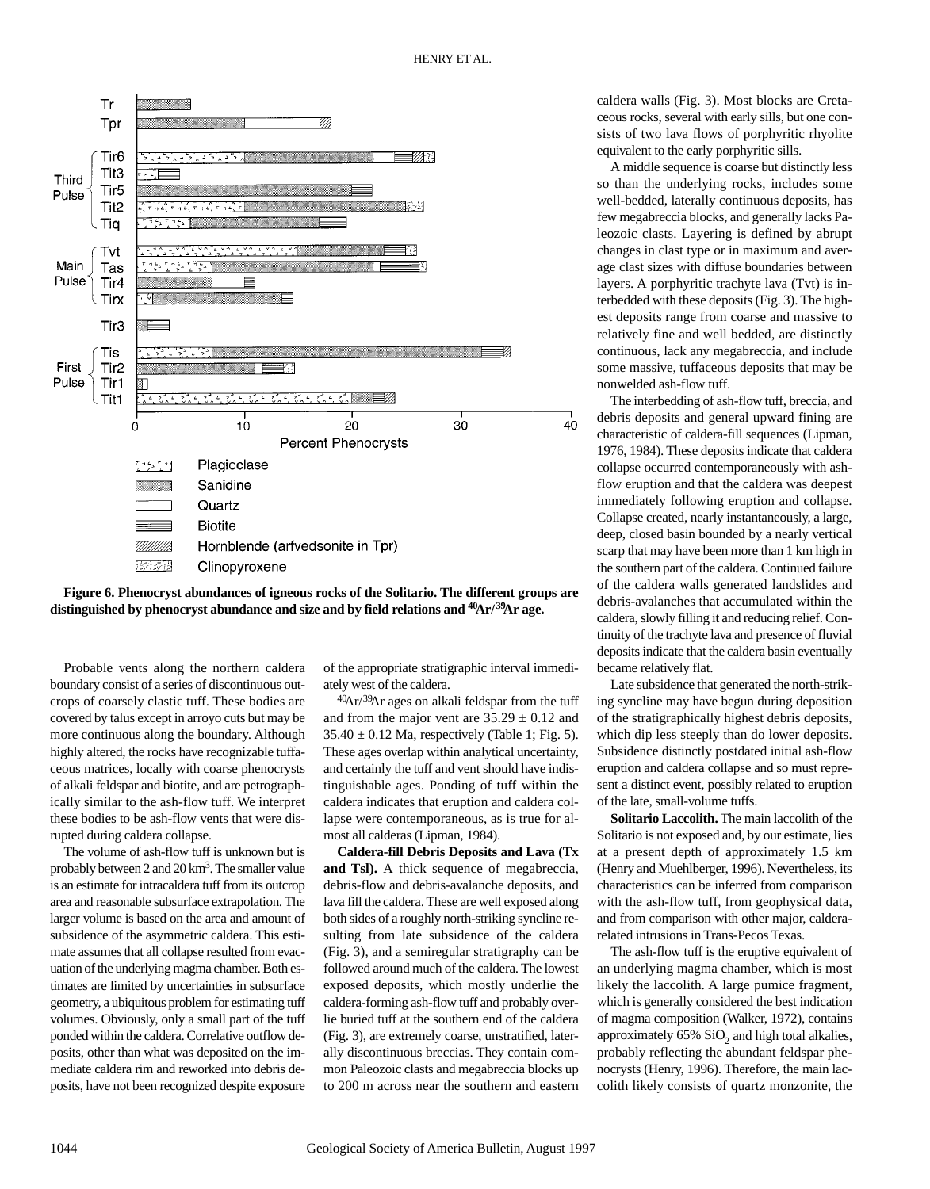

**Figure 6. Phenocryst abundances of igneous rocks of the Solitario. The different groups are distinguished by phenocryst abundance and size and by field relations and 40 Ar/<sup>39</sup> Ar age.**

Probable vents along the northern caldera boundary consist of a series of discontinuous outcrops of coarsely clastic tuff. These bodies are covered by talus except in arroyo cuts but may be more continuous along the boundary. Although highly altered, the rocks have recognizable tuffaceous matrices, locally with coarse phenocrysts of alkali feldspar and biotite, and are petrographically similar to the ash-flow tuff. We interpret these bodies to be ash-flow vents that were disrupted during caldera collapse.

The volume of ash-flow tuff is unknown but is probably between 2 and 20 km<sup>3</sup>. The smaller value is an estimate for intracaldera tuff from its outcrop area and reasonable subsurface extrapolation. The larger volume is based on the area and amount of subsidence of the asymmetric caldera. This estimate assumes that all collapse resulted from evacuation of the underlying magma chamber. Both estimates are limited by uncertainties in subsurface geometry, a ubiquitous problem for estimating tuff volumes. Obviously, only a small part of the tuff ponded within the caldera. Correlative outflow deposits, other than what was deposited on the immediate caldera rim and reworked into debris deposits, have not been recognized despite exposure of the appropriate stratigraphic interval immediately west of the caldera.

<sup>40</sup>Ar/<sup>39</sup>Ar ages on alkali feldspar from the tuff and from the major vent are  $35.29 \pm 0.12$  and  $35.40 \pm 0.12$  Ma, respectively (Table 1; Fig. 5). These ages overlap within analytical uncertainty, and certainly the tuff and vent should have indistinguishable ages. Ponding of tuff within the caldera indicates that eruption and caldera collapse were contemporaneous, as is true for almost all calderas (Lipman, 1984).

**Caldera-fill Debris Deposits and Lava (Tx and Tsl).** A thick sequence of megabreccia, debris-flow and debris-avalanche deposits, and lava fill the caldera. These are well exposed along both sides of a roughly north-striking syncline resulting from late subsidence of the caldera (Fig. 3), and a semiregular stratigraphy can be followed around much of the caldera. The lowest exposed deposits, which mostly underlie the caldera-forming ash-flow tuff and probably overlie buried tuff at the southern end of the caldera (Fig. 3), are extremely coarse, unstratified, laterally discontinuous breccias. They contain common Paleozoic clasts and megabreccia blocks up to 200 m across near the southern and eastern

caldera walls (Fig. 3). Most blocks are Cretaceous rocks, several with early sills, but one consists of two lava flows of porphyritic rhyolite equivalent to the early porphyritic sills.

A middle sequence is coarse but distinctly less so than the underlying rocks, includes some well-bedded, laterally continuous deposits, has few megabreccia blocks, and generally lacks Paleozoic clasts. Layering is defined by abrupt changes in clast type or in maximum and average clast sizes with diffuse boundaries between layers. A porphyritic trachyte lava (Tvt) is interbedded with these deposits (Fig. 3). The highest deposits range from coarse and massive to relatively fine and well bedded, are distinctly continuous, lack any megabreccia, and include some massive, tuffaceous deposits that may be nonwelded ash-flow tuff.

The interbedding of ash-flow tuff, breccia, and debris deposits and general upward fining are characteristic of caldera-fill sequences (Lipman, 1976, 1984). These deposits indicate that caldera collapse occurred contemporaneously with ashflow eruption and that the caldera was deepest immediately following eruption and collapse. Collapse created, nearly instantaneously, a large, deep, closed basin bounded by a nearly vertical scarp that may have been more than 1 km high in the southern part of the caldera. Continued failure of the caldera walls generated landslides and debris-avalanches that accumulated within the caldera, slowly filling it and reducing relief. Continuity of the trachyte lava and presence of fluvial deposits indicate that the caldera basin eventually became relatively flat.

Late subsidence that generated the north-striking syncline may have begun during deposition of the stratigraphically highest debris deposits, which dip less steeply than do lower deposits. Subsidence distinctly postdated initial ash-flow eruption and caldera collapse and so must represent a distinct event, possibly related to eruption of the late, small-volume tuffs.

**Solitario Laccolith.** The main laccolith of the Solitario is not exposed and, by our estimate, lies at a present depth of approximately 1.5 km (Henry and Muehlberger, 1996). Nevertheless, its characteristics can be inferred from comparison with the ash-flow tuff, from geophysical data, and from comparison with other major, calderarelated intrusions in Trans-Pecos Texas.

The ash-flow tuff is the eruptive equivalent of an underlying magma chamber, which is most likely the laccolith. A large pumice fragment, which is generally considered the best indication of magma composition (Walker, 1972), contains approximately  $65\%$  SiO<sub>2</sub> and high total alkalies, probably reflecting the abundant feldspar phenocrysts (Henry, 1996). Therefore, the main laccolith likely consists of quartz monzonite, the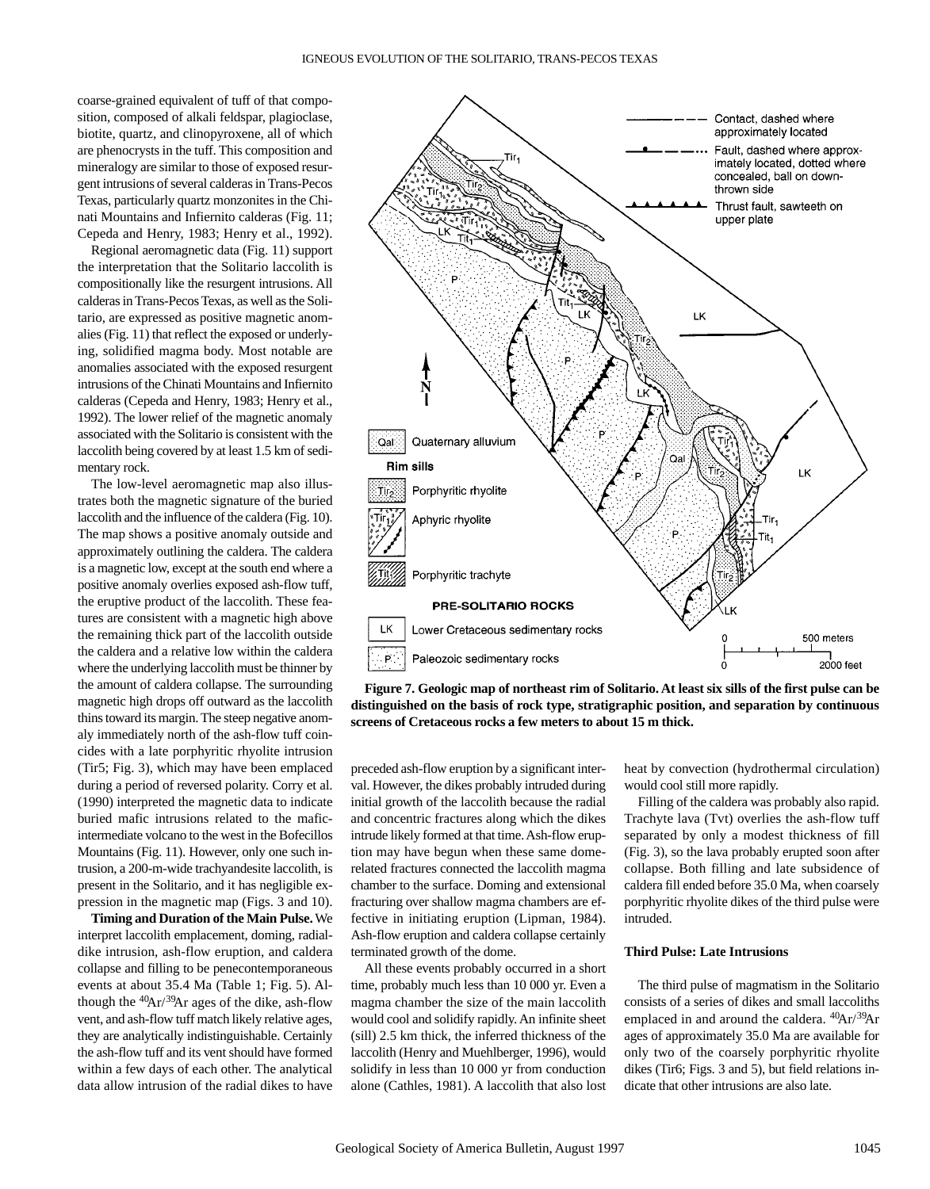coarse-grained equivalent of tuff of that composition, composed of alkali feldspar, plagioclase, biotite, quartz, and clinopyroxene, all of which are phenocrysts in the tuff. This composition and mineralogy are similar to those of exposed resurgent intrusions of several calderas in Trans-Pecos Texas, particularly quartz monzonites in the Chinati Mountains and Infiernito calderas (Fig. 11; Cepeda and Henry, 1983; Henry et al., 1992).

Regional aeromagnetic data (Fig. 11) support the interpretation that the Solitario laccolith is compositionally like the resurgent intrusions. All calderas in Trans-Pecos Texas, as well as the Solitario, are expressed as positive magnetic anomalies (Fig. 11) that reflect the exposed or underlying, solidified magma body. Most notable are anomalies associated with the exposed resurgent intrusions of the Chinati Mountains and Infiernito calderas (Cepeda and Henry, 1983; Henry et al., 1992). The lower relief of the magnetic anomaly associated with the Solitario is consistent with the laccolith being covered by at least 1.5 km of sedimentary rock.

The low-level aeromagnetic map also illustrates both the magnetic signature of the buried laccolith and the influence of the caldera (Fig. 10). The map shows a positive anomaly outside and approximately outlining the caldera. The caldera is a magnetic low, except at the south end where a positive anomaly overlies exposed ash-flow tuff, the eruptive product of the laccolith. These features are consistent with a magnetic high above the remaining thick part of the laccolith outside the caldera and a relative low within the caldera where the underlying laccolith must be thinner by the amount of caldera collapse. The surrounding magnetic high drops off outward as the laccolith thins toward its margin. The steep negative anomaly immediately north of the ash-flow tuff coincides with a late porphyritic rhyolite intrusion (Tir5; Fig. 3), which may have been emplaced during a period of reversed polarity. Corry et al. (1990) interpreted the magnetic data to indicate buried mafic intrusions related to the maficintermediate volcano to the west in the Bofecillos Mountains (Fig. 11). However, only one such intrusion, a 200-m-wide trachyandesite laccolith, is present in the Solitario, and it has negligible expression in the magnetic map (Figs. 3 and 10).

**Timing and Duration of the Main Pulse.**We interpret laccolith emplacement, doming, radialdike intrusion, ash-flow eruption, and caldera collapse and filling to be penecontemporaneous events at about 35.4 Ma (Table 1; Fig. 5). Although the <sup>40</sup>Ar/<sup>39</sup>Ar ages of the dike, ash-flow vent, and ash-flow tuff match likely relative ages, they are analytically indistinguishable. Certainly the ash-flow tuff and its vent should have formed within a few days of each other. The analytical data allow intrusion of the radial dikes to have



**Figure 7. Geologic map of northeast rim of Solitario. At least six sills of the first pulse can be distinguished on the basis of rock type, stratigraphic position, and separation by continuous screens of Cretaceous rocks a few meters to about 15 m thick.**

preceded ash-flow eruption by a significant interval. However, the dikes probably intruded during initial growth of the laccolith because the radial and concentric fractures along which the dikes intrude likely formed at that time. Ash-flow eruption may have begun when these same domerelated fractures connected the laccolith magma chamber to the surface. Doming and extensional fracturing over shallow magma chambers are effective in initiating eruption (Lipman, 1984). Ash-flow eruption and caldera collapse certainly terminated growth of the dome.

All these events probably occurred in a short time, probably much less than 10 000 yr. Even a magma chamber the size of the main laccolith would cool and solidify rapidly. An infinite sheet (sill) 2.5 km thick, the inferred thickness of the laccolith (Henry and Muehlberger, 1996), would solidify in less than 10 000 yr from conduction alone (Cathles, 1981). A laccolith that also lost heat by convection (hydrothermal circulation) would cool still more rapidly.

Filling of the caldera was probably also rapid. Trachyte lava (Tvt) overlies the ash-flow tuff separated by only a modest thickness of fill (Fig. 3), so the lava probably erupted soon after collapse. Both filling and late subsidence of caldera fill ended before 35.0 Ma, when coarsely porphyritic rhyolite dikes of the third pulse were intruded.

## **Third Pulse: Late Intrusions**

The third pulse of magmatism in the Solitario consists of a series of dikes and small laccoliths emplaced in and around the caldera. <sup>40</sup>Ar/<sup>39</sup>Ar ages of approximately 35.0 Ma are available for only two of the coarsely porphyritic rhyolite dikes (Tir6; Figs. 3 and 5), but field relations indicate that other intrusions are also late.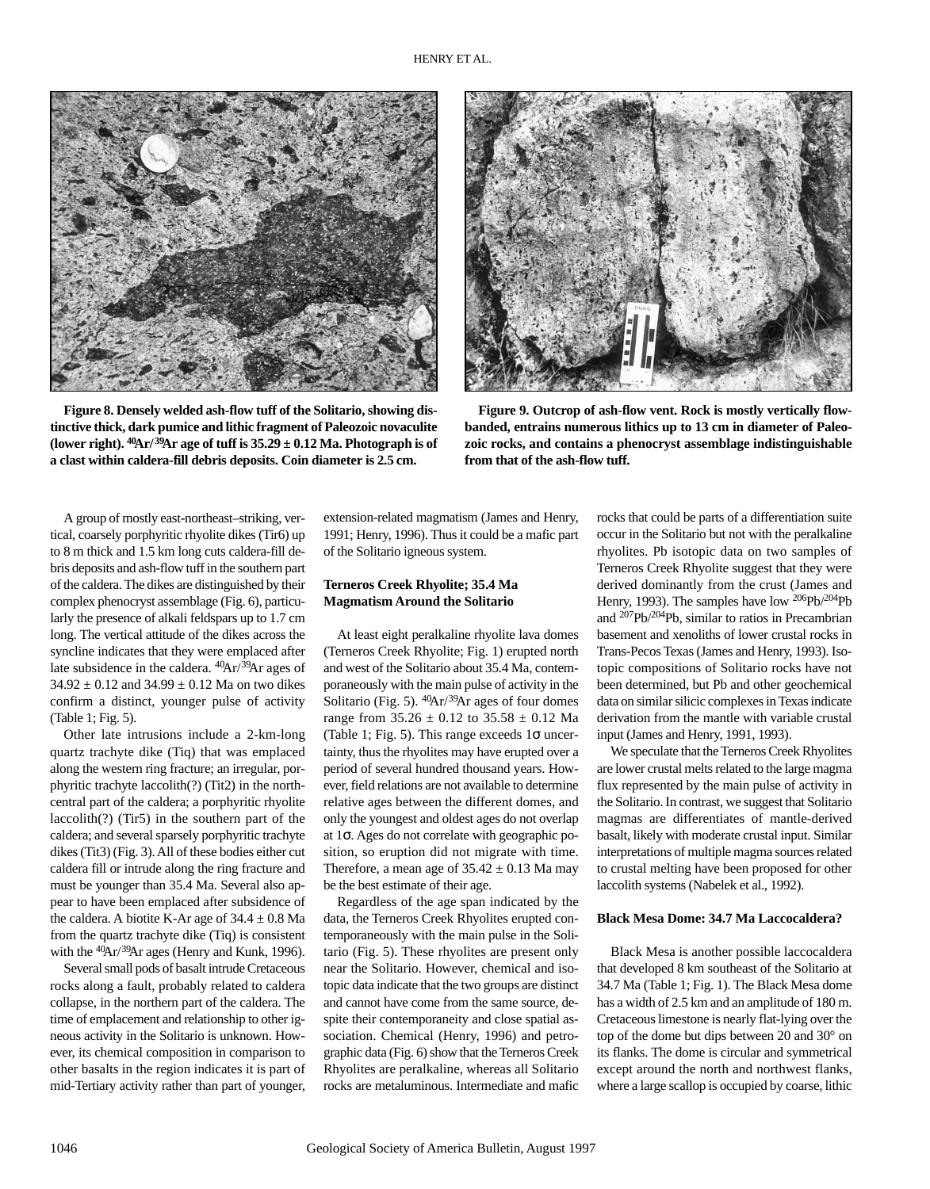

Figure 8. Densely welded ash-flow tuff of the Solitario, showing dis**tinctive thick, dark pumice and lithic fragment of Paleozoic novaculite (lower right). 40 Ar/<sup>39</sup> Ar age of tuff is 35.29 ± 0.12 Ma. Photograph is of a clast within caldera-fill debris deposits. Coin diameter is 2.5 cm.**



**Figure 9. Outcrop of ash-flow vent. Rock is mostly vertically flowbanded, entrains numerous lithics up to 13 cm in diameter of Paleozoic rocks, and contains a phenocryst assemblage indistinguishable from that of the ash-flow tuff.**

A group of mostly east-northeast–striking, vertical, coarsely porphyritic rhyolite dikes (Tir6) up to 8 m thick and 1.5 km long cuts caldera-fill debris deposits and ash-flow tuff in the southern part of the caldera. The dikes are distinguished by their complex phenocryst assemblage (Fig. 6), particularly the presence of alkali feldspars up to 1.7 cm long. The vertical attitude of the dikes across the syncline indicates that they were emplaced after late subsidence in the caldera. <sup>40</sup>Ar/<sup>39</sup>Ar ages of  $34.92 \pm 0.12$  and  $34.99 \pm 0.12$  Ma on two dikes confirm a distinct, younger pulse of activity (Table 1; Fig. 5).

Other late intrusions include a 2-km-long quartz trachyte dike (Tiq) that was emplaced along the western ring fracture; an irregular, porphyritic trachyte laccolith(?) (Tit2) in the northcentral part of the caldera; a porphyritic rhyolite laccolith(?) (Tir5) in the southern part of the caldera; and several sparsely porphyritic trachyte dikes (Tit3) (Fig. 3). All of these bodies either cut caldera fill or intrude along the ring fracture and must be younger than 35.4 Ma. Several also appear to have been emplaced after subsidence of the caldera. A biotite K-Ar age of  $34.4 \pm 0.8$  Ma from the quartz trachyte dike (Tiq) is consistent with the <sup>40</sup>Ar/<sup>39</sup>Ar ages (Henry and Kunk, 1996).

Several small pods of basalt intrude Cretaceous rocks along a fault, probably related to caldera collapse, in the northern part of the caldera. The time of emplacement and relationship to other igneous activity in the Solitario is unknown. However, its chemical composition in comparison to other basalts in the region indicates it is part of mid-Tertiary activity rather than part of younger, extension-related magmatism (James and Henry, 1991; Henry, 1996). Thus it could be a mafic part of the Solitario igneous system.

# **Terneros Creek Rhyolite; 35.4 Ma Magmatism Around the Solitario**

At least eight peralkaline rhyolite lava domes (Terneros Creek Rhyolite; Fig. 1) erupted north and west of the Solitario about 35.4 Ma, contemporaneously with the main pulse of activity in the Solitario (Fig. 5).  $\frac{40}{\text{Ar}}$  / $\frac{39}{\text{Ar}}$  ages of four domes range from  $35.26 \pm 0.12$  to  $35.58 \pm 0.12$  Ma (Table 1; Fig. 5). This range exceeds  $1\sigma$  uncertainty, thus the rhyolites may have erupted over a period of several hundred thousand years. However, field relations are not available to determine relative ages between the different domes, and only the youngest and oldest ages do not overlap at 1σ. Ages do not correlate with geographic position, so eruption did not migrate with time. Therefore, a mean age of  $35.42 \pm 0.13$  Ma may be the best estimate of their age.

Regardless of the age span indicated by the data, the Terneros Creek Rhyolites erupted contemporaneously with the main pulse in the Solitario (Fig. 5). These rhyolites are present only near the Solitario. However, chemical and isotopic data indicate that the two groups are distinct and cannot have come from the same source, despite their contemporaneity and close spatial association. Chemical (Henry, 1996) and petrographic data (Fig. 6) show that the Terneros Creek Rhyolites are peralkaline, whereas all Solitario rocks are metaluminous. Intermediate and mafic

rocks that could be parts of a differentiation suite occur in the Solitario but not with the peralkaline rhyolites. Pb isotopic data on two samples of Terneros Creek Rhyolite suggest that they were derived dominantly from the crust (James and Henry, 1993). The samples have low <sup>206</sup>Pb/<sup>204</sup>Pb and 207Pb/204Pb, similar to ratios in Precambrian basement and xenoliths of lower crustal rocks in Trans-Pecos Texas (James and Henry, 1993). Isotopic compositions of Solitario rocks have not been determined, but Pb and other geochemical data on similar silicic complexes in Texas indicate derivation from the mantle with variable crustal input (James and Henry, 1991, 1993).

We speculate that the Terneros Creek Rhyolites are lower crustal melts related to the large magma flux represented by the main pulse of activity in the Solitario. In contrast, we suggest that Solitario magmas are differentiates of mantle-derived basalt, likely with moderate crustal input. Similar interpretations of multiple magma sources related to crustal melting have been proposed for other laccolith systems (Nabelek et al., 1992).

### **Black Mesa Dome: 34.7 Ma Laccocaldera?**

Black Mesa is another possible laccocaldera that developed 8 km southeast of the Solitario at 34.7 Ma (Table 1; Fig. 1). The Black Mesa dome has a width of 2.5 km and an amplitude of 180 m. Cretaceous limestone is nearly flat-lying over the top of the dome but dips between 20 and 30° on its flanks. The dome is circular and symmetrical except around the north and northwest flanks, where a large scallop is occupied by coarse, lithic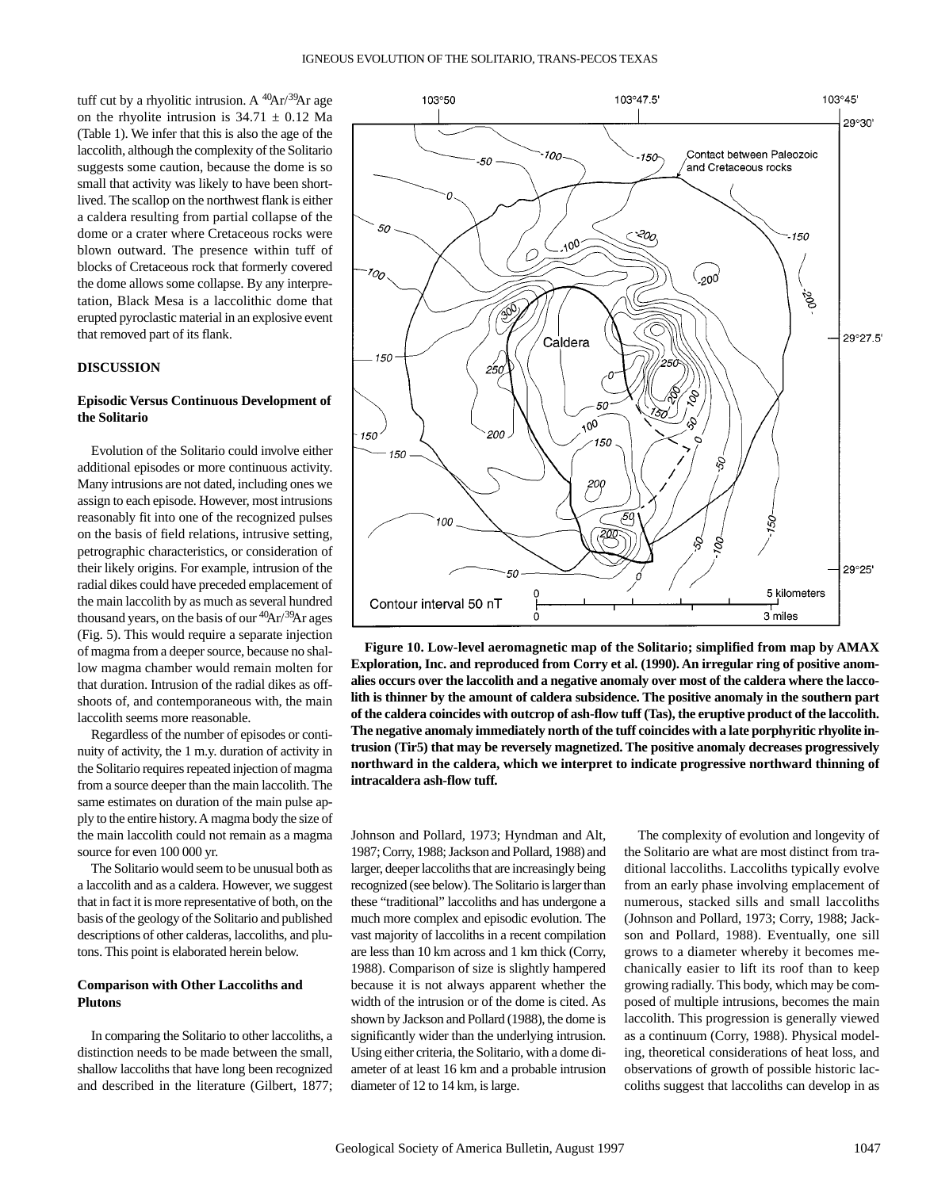tuff cut by a rhyolitic intrusion. A <sup>40</sup>Ar/<sup>39</sup>Ar age on the rhyolite intrusion is  $34.71 \pm 0.12$  Ma (Table 1). We infer that this is also the age of the laccolith, although the complexity of the Solitario suggests some caution, because the dome is so small that activity was likely to have been shortlived. The scallop on the northwest flank is either a caldera resulting from partial collapse of the dome or a crater where Cretaceous rocks were blown outward. The presence within tuff of blocks of Cretaceous rock that formerly covered the dome allows some collapse. By any interpretation, Black Mesa is a laccolithic dome that erupted pyroclastic material in an explosive event that removed part of its flank.

## **DISCUSSION**

# **Episodic Versus Continuous Development of the Solitario**

Evolution of the Solitario could involve either additional episodes or more continuous activity. Many intrusions are not dated, including ones we assign to each episode. However, most intrusions reasonably fit into one of the recognized pulses on the basis of field relations, intrusive setting, petrographic characteristics, or consideration of their likely origins. For example, intrusion of the radial dikes could have preceded emplacement of the main laccolith by as much as several hundred thousand years, on the basis of our <sup>40</sup>Ar/<sup>39</sup>Ar ages (Fig. 5). This would require a separate injection of magma from a deeper source, because no shallow magma chamber would remain molten for that duration. Intrusion of the radial dikes as offshoots of, and contemporaneous with, the main laccolith seems more reasonable.

Regardless of the number of episodes or continuity of activity, the 1 m.y. duration of activity in the Solitario requires repeated injection of magma from a source deeper than the main laccolith. The same estimates on duration of the main pulse apply to the entire history. A magma body the size of the main laccolith could not remain as a magma source for even 100 000 yr.

The Solitario would seem to be unusual both as a laccolith and as a caldera. However, we suggest that in fact it is more representative of both, on the basis of the geology of the Solitario and published descriptions of other calderas, laccoliths, and plutons. This point is elaborated herein below.

## **Comparison with Other Laccoliths and Plutons**

In comparing the Solitario to other laccoliths, a distinction needs to be made between the small, shallow laccoliths that have long been recognized and described in the literature (Gilbert, 1877;



**Figure 10. Low-level aeromagnetic map of the Solitario; simplified from map by AMAX Exploration, Inc. and reproduced from Corry et al. (1990). An irregular ring of positive anomalies occurs over the laccolith and a negative anomaly over most of the caldera where the laccolith is thinner by the amount of caldera subsidence. The positive anomaly in the southern part of the caldera coincides with outcrop of ash-flow tuff (Tas), the eruptive product of the laccolith. The negative anomaly immediately north of the tuff coincides with a late porphyritic rhyolite intrusion (Tir5) that may be reversely magnetized. The positive anomaly decreases progressively northward in the caldera, which we interpret to indicate progressive northward thinning of intracaldera ash-flow tuff.**

Johnson and Pollard, 1973; Hyndman and Alt, 1987; Corry, 1988; Jackson and Pollard, 1988) and larger, deeper laccoliths that are increasingly being recognized (see below). The Solitario is larger than these "traditional" laccoliths and has undergone a much more complex and episodic evolution. The vast majority of laccoliths in a recent compilation are less than 10 km across and 1 km thick (Corry, 1988). Comparison of size is slightly hampered because it is not always apparent whether the width of the intrusion or of the dome is cited. As shown by Jackson and Pollard (1988), the dome is significantly wider than the underlying intrusion. Using either criteria, the Solitario, with a dome diameter of at least 16 km and a probable intrusion diameter of 12 to 14 km, is large.

The complexity of evolution and longevity of the Solitario are what are most distinct from traditional laccoliths. Laccoliths typically evolve from an early phase involving emplacement of numerous, stacked sills and small laccoliths (Johnson and Pollard, 1973; Corry, 1988; Jackson and Pollard, 1988). Eventually, one sill grows to a diameter whereby it becomes mechanically easier to lift its roof than to keep growing radially. This body, which may be composed of multiple intrusions, becomes the main laccolith. This progression is generally viewed as a continuum (Corry, 1988). Physical modeling, theoretical considerations of heat loss, and observations of growth of possible historic laccoliths suggest that laccoliths can develop in as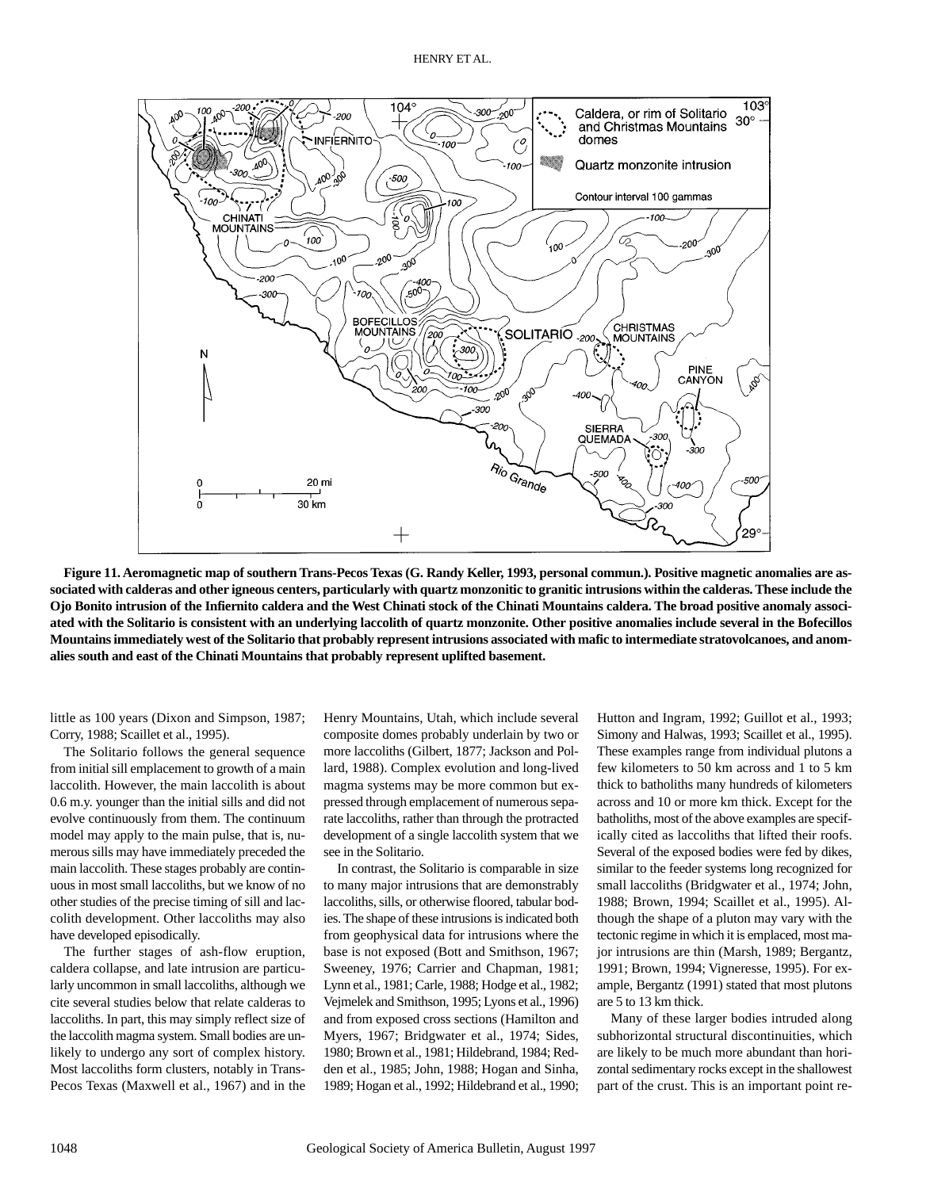

**Figure 11. Aeromagnetic map of southern Trans-Pecos Texas (G. Randy Keller, 1993, personal commun.). Positive magnetic anomalies are associated with calderas and other igneous centers, particularly with quartz monzonitic to granitic intrusions within the calderas. These include the Ojo Bonito intrusion of the Infiernito caldera and the West Chinati stock of the Chinati Mountains caldera. The broad positive anomaly associated with the Solitario is consistent with an underlying laccolith of quartz monzonite. Other positive anomalies include several in the Bofecillos Mountains immediately west of the Solitario that probably represent intrusions associated with mafic to intermediate stratovolcanoes, and anomalies south and east of the Chinati Mountains that probably represent uplifted basement.**

little as 100 years (Dixon and Simpson, 1987; Corry, 1988; Scaillet et al., 1995).

The Solitario follows the general sequence from initial sill emplacement to growth of a main laccolith. However, the main laccolith is about 0.6 m.y. younger than the initial sills and did not evolve continuously from them. The continuum model may apply to the main pulse, that is, numerous sills may have immediately preceded the main laccolith. These stages probably are continuous in most small laccoliths, but we know of no other studies of the precise timing of sill and laccolith development. Other laccoliths may also have developed episodically.

The further stages of ash-flow eruption, caldera collapse, and late intrusion are particularly uncommon in small laccoliths, although we cite several studies below that relate calderas to laccoliths. In part, this may simply reflect size of the laccolith magma system. Small bodies are unlikely to undergo any sort of complex history. Most laccoliths form clusters, notably in Trans-Pecos Texas (Maxwell et al., 1967) and in the Henry Mountains, Utah, which include several composite domes probably underlain by two or more laccoliths (Gilbert, 1877; Jackson and Pollard, 1988). Complex evolution and long-lived magma systems may be more common but expressed through emplacement of numerous separate laccoliths, rather than through the protracted development of a single laccolith system that we see in the Solitario.

In contrast, the Solitario is comparable in size to many major intrusions that are demonstrably laccoliths, sills, or otherwise floored, tabular bodies. The shape of these intrusions is indicated both from geophysical data for intrusions where the base is not exposed (Bott and Smithson, 1967; Sweeney, 1976; Carrier and Chapman, 1981; Lynn et al., 1981; Carle, 1988; Hodge et al., 1982; Vejmelek and Smithson, 1995; Lyons et al., 1996) and from exposed cross sections (Hamilton and Myers, 1967; Bridgwater et al., 1974; Sides, 1980; Brown et al., 1981; Hildebrand, 1984; Redden et al., 1985; John, 1988; Hogan and Sinha, 1989; Hogan et al., 1992; Hildebrand et al., 1990; Hutton and Ingram, 1992; Guillot et al., 1993; Simony and Halwas, 1993; Scaillet et al., 1995). These examples range from individual plutons a few kilometers to 50 km across and 1 to 5 km thick to batholiths many hundreds of kilometers across and 10 or more km thick. Except for the batholiths, most of the above examples are specifically cited as laccoliths that lifted their roofs. Several of the exposed bodies were fed by dikes, similar to the feeder systems long recognized for small laccoliths (Bridgwater et al., 1974; John, 1988; Brown, 1994; Scaillet et al., 1995). Although the shape of a pluton may vary with the tectonic regime in which it is emplaced, most major intrusions are thin (Marsh, 1989; Bergantz, 1991; Brown, 1994; Vigneresse, 1995). For example, Bergantz (1991) stated that most plutons are 5 to 13 km thick.

Many of these larger bodies intruded along subhorizontal structural discontinuities, which are likely to be much more abundant than horizontal sedimentary rocks except in the shallowest part of the crust. This is an important point re-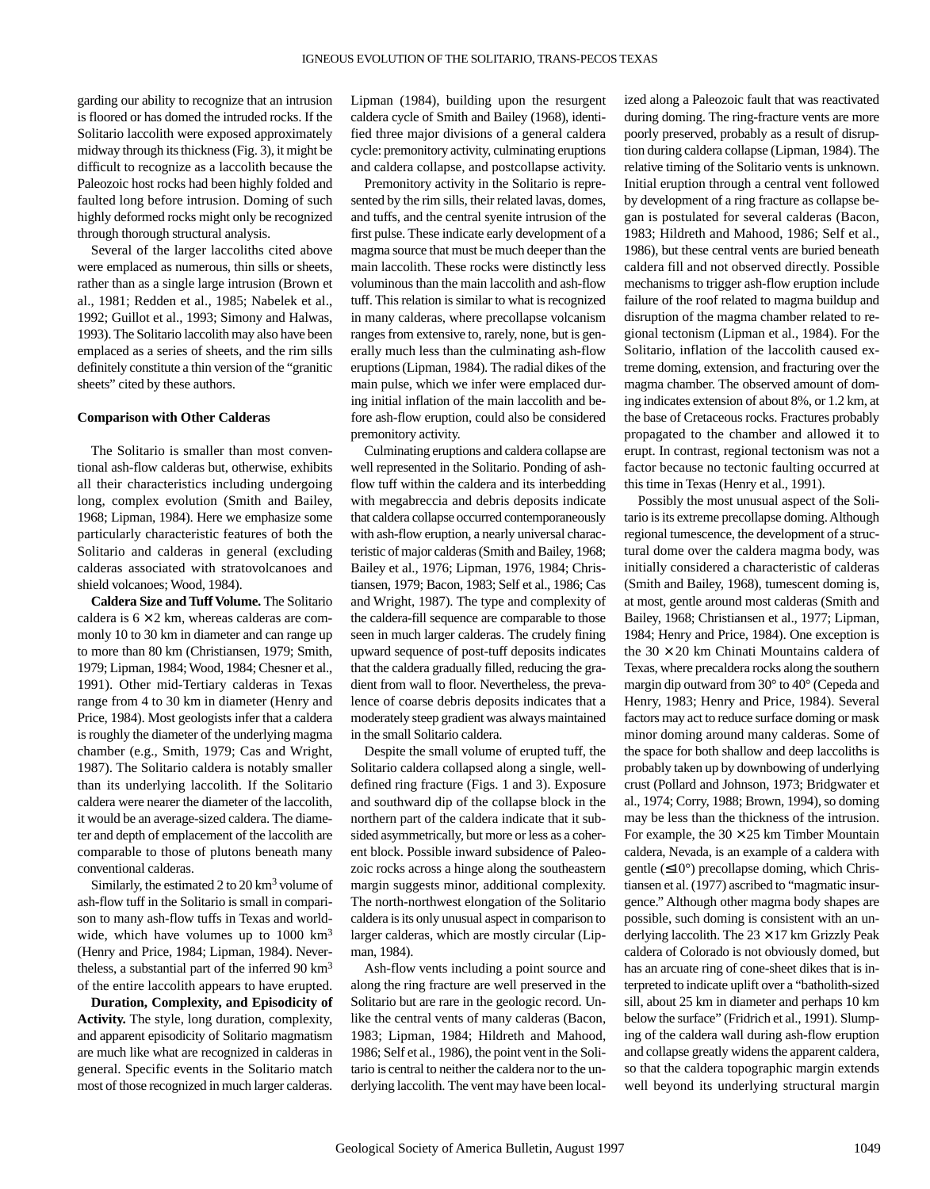garding our ability to recognize that an intrusion is floored or has domed the intruded rocks. If the Solitario laccolith were exposed approximately midway through its thickness (Fig. 3), it might be difficult to recognize as a laccolith because the Paleozoic host rocks had been highly folded and faulted long before intrusion. Doming of such highly deformed rocks might only be recognized through thorough structural analysis.

Several of the larger laccoliths cited above were emplaced as numerous, thin sills or sheets, rather than as a single large intrusion (Brown et al., 1981; Redden et al., 1985; Nabelek et al., 1992; Guillot et al., 1993; Simony and Halwas, 1993). The Solitario laccolith may also have been emplaced as a series of sheets, and the rim sills definitely constitute a thin version of the "granitic sheets" cited by these authors.

### **Comparison with Other Calderas**

The Solitario is smaller than most conventional ash-flow calderas but, otherwise, exhibits all their characteristics including undergoing long, complex evolution (Smith and Bailey, 1968; Lipman, 1984). Here we emphasize some particularly characteristic features of both the Solitario and calderas in general (excluding calderas associated with stratovolcanoes and shield volcanoes; Wood, 1984).

**Caldera Size and Tuff Volume.** The Solitario caldera is  $6 \times 2$  km, whereas calderas are commonly 10 to 30 km in diameter and can range up to more than 80 km (Christiansen, 1979; Smith, 1979; Lipman, 1984; Wood, 1984; Chesner et al., 1991). Other mid-Tertiary calderas in Texas range from 4 to 30 km in diameter (Henry and Price, 1984). Most geologists infer that a caldera is roughly the diameter of the underlying magma chamber (e.g., Smith, 1979; Cas and Wright, 1987). The Solitario caldera is notably smaller than its underlying laccolith. If the Solitario caldera were nearer the diameter of the laccolith, it would be an average-sized caldera. The diameter and depth of emplacement of the laccolith are comparable to those of plutons beneath many conventional calderas.

Similarly, the estimated 2 to 20 km3 volume of ash-flow tuff in the Solitario is small in comparison to many ash-flow tuffs in Texas and worldwide, which have volumes up to  $1000 \text{ km}^3$ (Henry and Price, 1984; Lipman, 1984). Nevertheless, a substantial part of the inferred  $90 \text{ km}^3$ of the entire laccolith appears to have erupted.

**Duration, Complexity, and Episodicity of Activity.** The style, long duration, complexity, and apparent episodicity of Solitario magmatism are much like what are recognized in calderas in general. Specific events in the Solitario match most of those recognized in much larger calderas.

Lipman (1984), building upon the resurgent caldera cycle of Smith and Bailey (1968), identified three major divisions of a general caldera cycle: premonitory activity, culminating eruptions and caldera collapse, and postcollapse activity.

Premonitory activity in the Solitario is represented by the rim sills, their related lavas, domes, and tuffs, and the central syenite intrusion of the first pulse. These indicate early development of a magma source that must be much deeper than the main laccolith. These rocks were distinctly less voluminous than the main laccolith and ash-flow tuff. This relation is similar to what is recognized in many calderas, where precollapse volcanism ranges from extensive to, rarely, none, but is generally much less than the culminating ash-flow eruptions (Lipman, 1984). The radial dikes of the main pulse, which we infer were emplaced during initial inflation of the main laccolith and before ash-flow eruption, could also be considered premonitory activity.

Culminating eruptions and caldera collapse are well represented in the Solitario. Ponding of ashflow tuff within the caldera and its interbedding with megabreccia and debris deposits indicate that caldera collapse occurred contemporaneously with ash-flow eruption, a nearly universal characteristic of major calderas (Smith and Bailey, 1968; Bailey et al., 1976; Lipman, 1976, 1984; Christiansen, 1979; Bacon, 1983; Self et al., 1986; Cas and Wright, 1987). The type and complexity of the caldera-fill sequence are comparable to those seen in much larger calderas. The crudely fining upward sequence of post-tuff deposits indicates that the caldera gradually filled, reducing the gradient from wall to floor. Nevertheless, the prevalence of coarse debris deposits indicates that a moderately steep gradient was always maintained in the small Solitario caldera.

Despite the small volume of erupted tuff, the Solitario caldera collapsed along a single, welldefined ring fracture (Figs. 1 and 3). Exposure and southward dip of the collapse block in the northern part of the caldera indicate that it subsided asymmetrically, but more or less as a coherent block. Possible inward subsidence of Paleozoic rocks across a hinge along the southeastern margin suggests minor, additional complexity. The north-northwest elongation of the Solitario caldera is its only unusual aspect in comparison to larger calderas, which are mostly circular (Lipman, 1984).

Ash-flow vents including a point source and along the ring fracture are well preserved in the Solitario but are rare in the geologic record. Unlike the central vents of many calderas (Bacon, 1983; Lipman, 1984; Hildreth and Mahood, 1986; Self et al., 1986), the point vent in the Solitario is central to neither the caldera nor to the underlying laccolith. The vent may have been localized along a Paleozoic fault that was reactivated during doming. The ring-fracture vents are more poorly preserved, probably as a result of disruption during caldera collapse (Lipman, 1984). The relative timing of the Solitario vents is unknown. Initial eruption through a central vent followed by development of a ring fracture as collapse began is postulated for several calderas (Bacon, 1983; Hildreth and Mahood, 1986; Self et al., 1986), but these central vents are buried beneath caldera fill and not observed directly. Possible mechanisms to trigger ash-flow eruption include failure of the roof related to magma buildup and disruption of the magma chamber related to regional tectonism (Lipman et al., 1984). For the Solitario, inflation of the laccolith caused extreme doming, extension, and fracturing over the magma chamber. The observed amount of doming indicates extension of about 8%, or 1.2 km, at the base of Cretaceous rocks. Fractures probably propagated to the chamber and allowed it to erupt. In contrast, regional tectonism was not a factor because no tectonic faulting occurred at this time in Texas (Henry et al., 1991).

Possibly the most unusual aspect of the Solitario is its extreme precollapse doming. Although regional tumescence, the development of a structural dome over the caldera magma body, was initially considered a characteristic of calderas (Smith and Bailey, 1968), tumescent doming is, at most, gentle around most calderas (Smith and Bailey, 1968; Christiansen et al., 1977; Lipman, 1984; Henry and Price, 1984). One exception is the  $30 \times 20$  km Chinati Mountains caldera of Texas, where precaldera rocks along the southern margin dip outward from 30° to 40° (Cepeda and Henry, 1983; Henry and Price, 1984). Several factors may act to reduce surface doming or mask minor doming around many calderas. Some of the space for both shallow and deep laccoliths is probably taken up by downbowing of underlying crust (Pollard and Johnson, 1973; Bridgwater et al., 1974; Corry, 1988; Brown, 1994), so doming may be less than the thickness of the intrusion. For example, the  $30 \times 25$  km Timber Mountain caldera, Nevada, is an example of a caldera with gentle  $(\leq 10^{\circ})$  precollapse doming, which Christiansen et al. (1977) ascribed to "magmatic insurgence." Although other magma body shapes are possible, such doming is consistent with an underlying laccolith. The  $23 \times 17$  km Grizzly Peak caldera of Colorado is not obviously domed, but has an arcuate ring of cone-sheet dikes that is interpreted to indicate uplift over a "batholith-sized sill, about 25 km in diameter and perhaps 10 km below the surface" (Fridrich et al., 1991). Slumping of the caldera wall during ash-flow eruption and collapse greatly widens the apparent caldera, so that the caldera topographic margin extends well beyond its underlying structural margin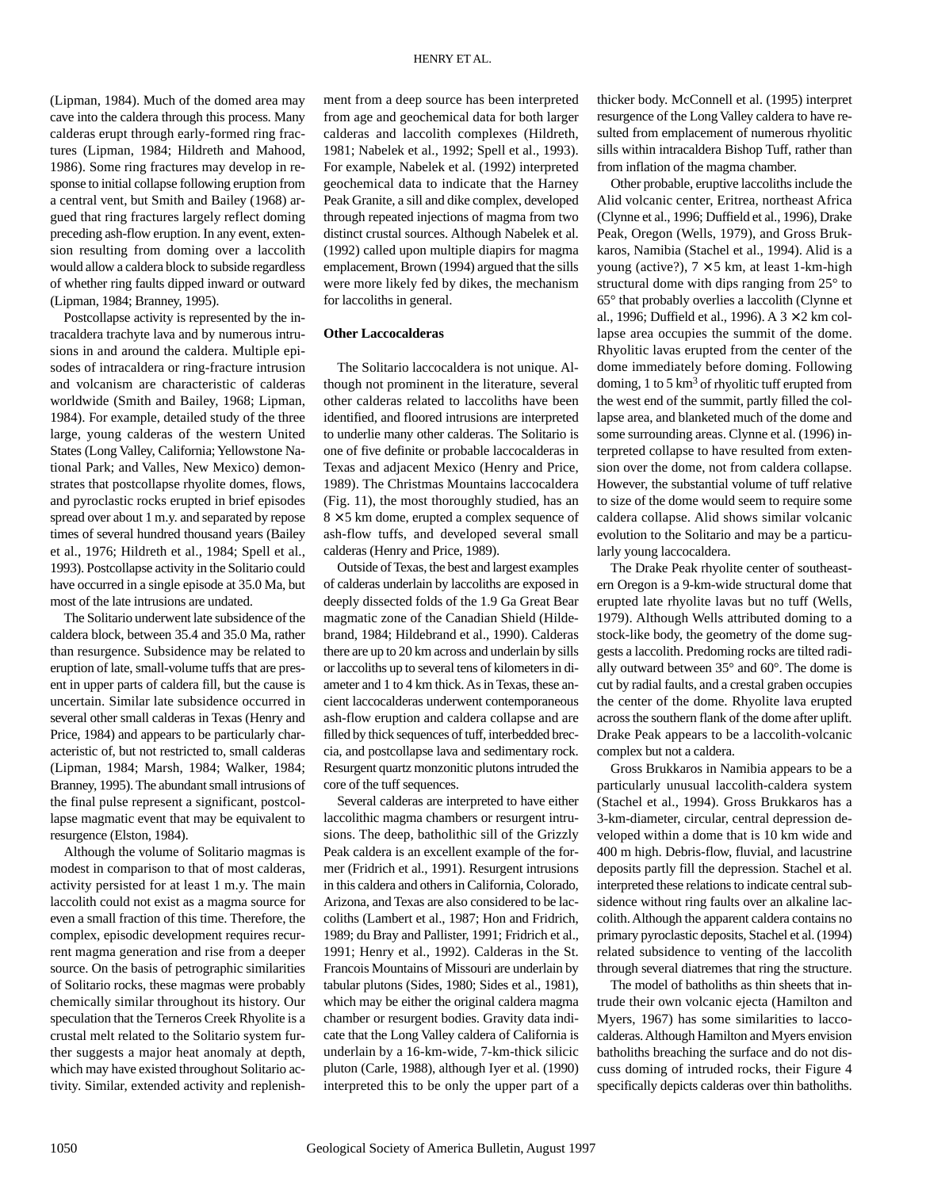(Lipman, 1984). Much of the domed area may cave into the caldera through this process. Many calderas erupt through early-formed ring fractures (Lipman, 1984; Hildreth and Mahood, 1986). Some ring fractures may develop in response to initial collapse following eruption from a central vent, but Smith and Bailey (1968) argued that ring fractures largely reflect doming preceding ash-flow eruption. In any event, extension resulting from doming over a laccolith would allow a caldera block to subside regardless of whether ring faults dipped inward or outward (Lipman, 1984; Branney, 1995).

Postcollapse activity is represented by the intracaldera trachyte lava and by numerous intrusions in and around the caldera. Multiple episodes of intracaldera or ring-fracture intrusion and volcanism are characteristic of calderas worldwide (Smith and Bailey, 1968; Lipman, 1984). For example, detailed study of the three large, young calderas of the western United States (Long Valley, California; Yellowstone National Park; and Valles, New Mexico) demonstrates that postcollapse rhyolite domes, flows, and pyroclastic rocks erupted in brief episodes spread over about 1 m.y. and separated by repose times of several hundred thousand years (Bailey et al., 1976; Hildreth et al., 1984; Spell et al., 1993). Postcollapse activity in the Solitario could have occurred in a single episode at 35.0 Ma, but most of the late intrusions are undated.

The Solitario underwent late subsidence of the caldera block, between 35.4 and 35.0 Ma, rather than resurgence. Subsidence may be related to eruption of late, small-volume tuffs that are present in upper parts of caldera fill, but the cause is uncertain. Similar late subsidence occurred in several other small calderas in Texas (Henry and Price, 1984) and appears to be particularly characteristic of, but not restricted to, small calderas (Lipman, 1984; Marsh, 1984; Walker, 1984; Branney, 1995). The abundant small intrusions of the final pulse represent a significant, postcollapse magmatic event that may be equivalent to resurgence (Elston, 1984).

Although the volume of Solitario magmas is modest in comparison to that of most calderas, activity persisted for at least 1 m.y. The main laccolith could not exist as a magma source for even a small fraction of this time. Therefore, the complex, episodic development requires recurrent magma generation and rise from a deeper source. On the basis of petrographic similarities of Solitario rocks, these magmas were probably chemically similar throughout its history. Our speculation that the Terneros Creek Rhyolite is a crustal melt related to the Solitario system further suggests a major heat anomaly at depth, which may have existed throughout Solitario activity. Similar, extended activity and replenishment from a deep source has been interpreted from age and geochemical data for both larger calderas and laccolith complexes (Hildreth, 1981; Nabelek et al., 1992; Spell et al., 1993). For example, Nabelek et al. (1992) interpreted geochemical data to indicate that the Harney Peak Granite, a sill and dike complex, developed through repeated injections of magma from two distinct crustal sources. Although Nabelek et al. (1992) called upon multiple diapirs for magma emplacement, Brown (1994) argued that the sills were more likely fed by dikes, the mechanism for laccoliths in general.

# **Other Laccocalderas**

The Solitario laccocaldera is not unique. Although not prominent in the literature, several other calderas related to laccoliths have been identified, and floored intrusions are interpreted to underlie many other calderas. The Solitario is one of five definite or probable laccocalderas in Texas and adjacent Mexico (Henry and Price, 1989). The Christmas Mountains laccocaldera (Fig. 11), the most thoroughly studied, has an  $8 \times 5$  km dome, erupted a complex sequence of ash-flow tuffs, and developed several small calderas (Henry and Price, 1989).

Outside of Texas, the best and largest examples of calderas underlain by laccoliths are exposed in deeply dissected folds of the 1.9 Ga Great Bear magmatic zone of the Canadian Shield (Hildebrand, 1984; Hildebrand et al., 1990). Calderas there are up to 20 km across and underlain by sills or laccoliths up to several tens of kilometers in diameter and 1 to 4 km thick. As in Texas, these ancient laccocalderas underwent contemporaneous ash-flow eruption and caldera collapse and are filled by thick sequences of tuff, interbedded breccia, and postcollapse lava and sedimentary rock. Resurgent quartz monzonitic plutons intruded the core of the tuff sequences.

Several calderas are interpreted to have either laccolithic magma chambers or resurgent intrusions. The deep, batholithic sill of the Grizzly Peak caldera is an excellent example of the former (Fridrich et al., 1991). Resurgent intrusions in this caldera and others in California, Colorado, Arizona, and Texas are also considered to be laccoliths (Lambert et al., 1987; Hon and Fridrich, 1989; du Bray and Pallister, 1991; Fridrich et al., 1991; Henry et al., 1992). Calderas in the St. Francois Mountains of Missouri are underlain by tabular plutons (Sides, 1980; Sides et al., 1981), which may be either the original caldera magma chamber or resurgent bodies. Gravity data indicate that the Long Valley caldera of California is underlain by a 16-km-wide, 7-km-thick silicic pluton (Carle, 1988), although Iyer et al. (1990) interpreted this to be only the upper part of a

thicker body. McConnell et al. (1995) interpret resurgence of the Long Valley caldera to have resulted from emplacement of numerous rhyolitic sills within intracaldera Bishop Tuff, rather than from inflation of the magma chamber.

Other probable, eruptive laccoliths include the Alid volcanic center, Eritrea, northeast Africa (Clynne et al., 1996; Duffield et al., 1996), Drake Peak, Oregon (Wells, 1979), and Gross Brukkaros, Namibia (Stachel et al., 1994). Alid is a young (active?),  $7 \times 5$  km, at least 1-km-high structural dome with dips ranging from 25° to 65° that probably overlies a laccolith (Clynne et al., 1996; Duffield et al., 1996). A  $3 \times 2$  km collapse area occupies the summit of the dome. Rhyolitic lavas erupted from the center of the dome immediately before doming. Following doming, 1 to 5  $km^3$  of rhyolitic tuff erupted from the west end of the summit, partly filled the collapse area, and blanketed much of the dome and some surrounding areas. Clynne et al. (1996) interpreted collapse to have resulted from extension over the dome, not from caldera collapse. However, the substantial volume of tuff relative to size of the dome would seem to require some caldera collapse. Alid shows similar volcanic evolution to the Solitario and may be a particularly young laccocaldera.

The Drake Peak rhyolite center of southeastern Oregon is a 9-km-wide structural dome that erupted late rhyolite lavas but no tuff (Wells, 1979). Although Wells attributed doming to a stock-like body, the geometry of the dome suggests a laccolith. Predoming rocks are tilted radially outward between 35° and 60°. The dome is cut by radial faults, and a crestal graben occupies the center of the dome. Rhyolite lava erupted across the southern flank of the dome after uplift. Drake Peak appears to be a laccolith-volcanic complex but not a caldera.

Gross Brukkaros in Namibia appears to be a particularly unusual laccolith-caldera system (Stachel et al., 1994). Gross Brukkaros has a 3-km-diameter, circular, central depression developed within a dome that is 10 km wide and 400 m high. Debris-flow, fluvial, and lacustrine deposits partly fill the depression. Stachel et al. interpreted these relations to indicate central subsidence without ring faults over an alkaline laccolith. Although the apparent caldera contains no primary pyroclastic deposits, Stachel et al. (1994) related subsidence to venting of the laccolith through several diatremes that ring the structure.

The model of batholiths as thin sheets that intrude their own volcanic ejecta (Hamilton and Myers, 1967) has some similarities to laccocalderas. Although Hamilton and Myers envision batholiths breaching the surface and do not discuss doming of intruded rocks, their Figure 4 specifically depicts calderas over thin batholiths.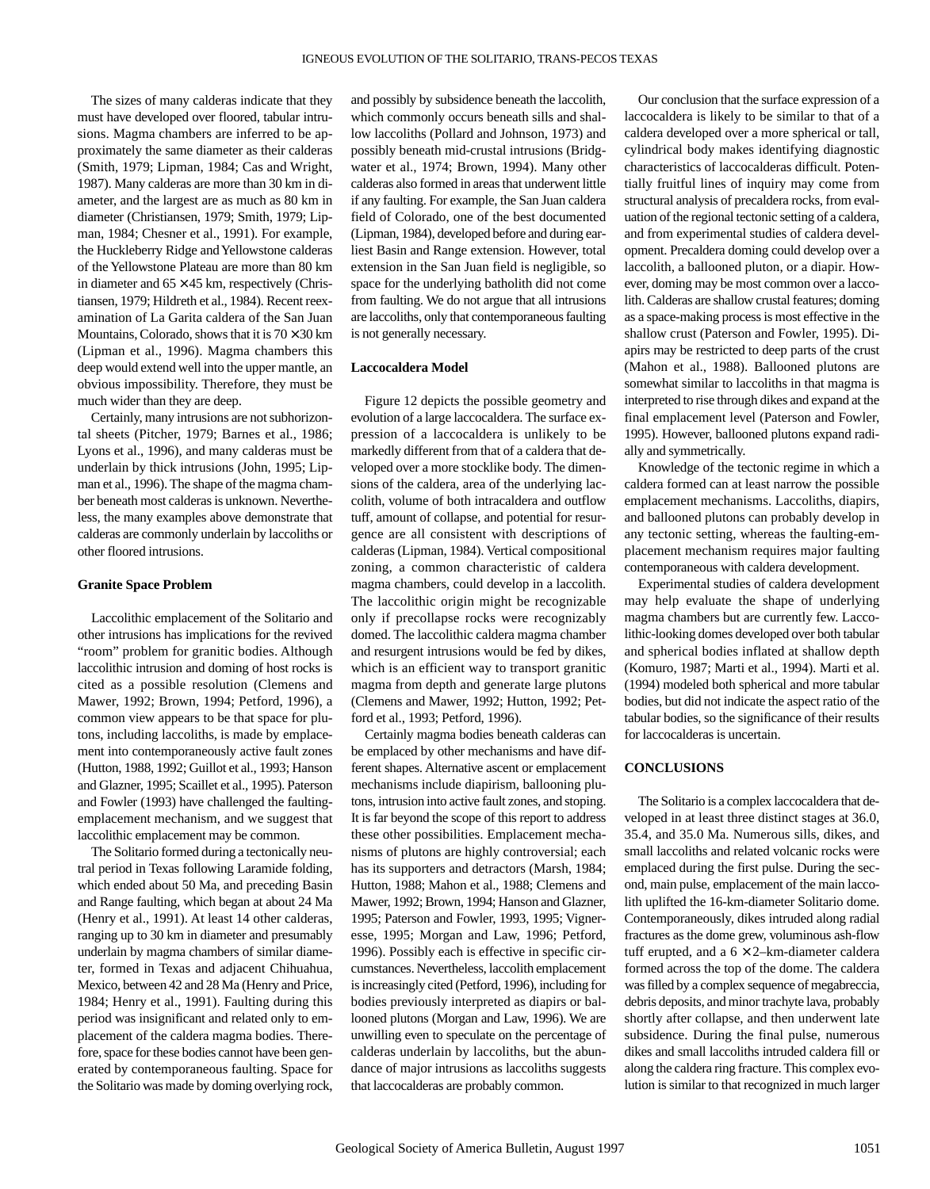The sizes of many calderas indicate that they must have developed over floored, tabular intrusions. Magma chambers are inferred to be approximately the same diameter as their calderas (Smith, 1979; Lipman, 1984; Cas and Wright, 1987). Many calderas are more than 30 km in diameter, and the largest are as much as 80 km in diameter (Christiansen, 1979; Smith, 1979; Lipman, 1984; Chesner et al., 1991). For example, the Huckleberry Ridge and Yellowstone calderas of the Yellowstone Plateau are more than 80 km in diameter and  $65 \times 45$  km, respectively (Christiansen, 1979; Hildreth et al., 1984). Recent reexamination of La Garita caldera of the San Juan Mountains, Colorado, shows that it is  $70 \times 30$  km (Lipman et al., 1996). Magma chambers this deep would extend well into the upper mantle, an obvious impossibility. Therefore, they must be much wider than they are deep.

Certainly, many intrusions are not subhorizontal sheets (Pitcher, 1979; Barnes et al., 1986; Lyons et al., 1996), and many calderas must be underlain by thick intrusions (John, 1995; Lipman et al., 1996). The shape of the magma chamber beneath most calderas is unknown. Nevertheless, the many examples above demonstrate that calderas are commonly underlain by laccoliths or other floored intrusions.

#### **Granite Space Problem**

Laccolithic emplacement of the Solitario and other intrusions has implications for the revived "room" problem for granitic bodies. Although laccolithic intrusion and doming of host rocks is cited as a possible resolution (Clemens and Mawer, 1992; Brown, 1994; Petford, 1996), a common view appears to be that space for plutons, including laccoliths, is made by emplacement into contemporaneously active fault zones (Hutton, 1988, 1992; Guillot et al., 1993; Hanson and Glazner, 1995; Scaillet et al., 1995). Paterson and Fowler (1993) have challenged the faultingemplacement mechanism, and we suggest that laccolithic emplacement may be common.

The Solitario formed during a tectonically neutral period in Texas following Laramide folding, which ended about 50 Ma, and preceding Basin and Range faulting, which began at about 24 Ma (Henry et al., 1991). At least 14 other calderas, ranging up to 30 km in diameter and presumably underlain by magma chambers of similar diameter, formed in Texas and adjacent Chihuahua, Mexico, between 42 and 28 Ma (Henry and Price, 1984; Henry et al., 1991). Faulting during this period was insignificant and related only to emplacement of the caldera magma bodies. Therefore, space for these bodies cannot have been generated by contemporaneous faulting. Space for the Solitario was made by doming overlying rock,

and possibly by subsidence beneath the laccolith, which commonly occurs beneath sills and shallow laccoliths (Pollard and Johnson, 1973) and possibly beneath mid-crustal intrusions (Bridgwater et al., 1974; Brown, 1994). Many other calderas also formed in areas that underwent little if any faulting. For example, the San Juan caldera field of Colorado, one of the best documented (Lipman, 1984), developed before and during earliest Basin and Range extension. However, total extension in the San Juan field is negligible, so space for the underlying batholith did not come from faulting. We do not argue that all intrusions are laccoliths, only that contemporaneous faulting is not generally necessary.

### **Laccocaldera Model**

Figure 12 depicts the possible geometry and evolution of a large laccocaldera. The surface expression of a laccocaldera is unlikely to be markedly different from that of a caldera that developed over a more stocklike body. The dimensions of the caldera, area of the underlying laccolith, volume of both intracaldera and outflow tuff, amount of collapse, and potential for resurgence are all consistent with descriptions of calderas (Lipman, 1984). Vertical compositional zoning, a common characteristic of caldera magma chambers, could develop in a laccolith. The laccolithic origin might be recognizable only if precollapse rocks were recognizably domed. The laccolithic caldera magma chamber and resurgent intrusions would be fed by dikes, which is an efficient way to transport granitic magma from depth and generate large plutons (Clemens and Mawer, 1992; Hutton, 1992; Petford et al., 1993; Petford, 1996).

Certainly magma bodies beneath calderas can be emplaced by other mechanisms and have different shapes. Alternative ascent or emplacement mechanisms include diapirism, ballooning plutons, intrusion into active fault zones, and stoping. It is far beyond the scope of this report to address these other possibilities. Emplacement mechanisms of plutons are highly controversial; each has its supporters and detractors (Marsh, 1984; Hutton, 1988; Mahon et al., 1988; Clemens and Mawer, 1992; Brown, 1994; Hanson and Glazner, 1995; Paterson and Fowler, 1993, 1995; Vigneresse, 1995; Morgan and Law, 1996; Petford, 1996). Possibly each is effective in specific circumstances. Nevertheless, laccolith emplacement is increasingly cited (Petford, 1996), including for bodies previously interpreted as diapirs or ballooned plutons (Morgan and Law, 1996). We are unwilling even to speculate on the percentage of calderas underlain by laccoliths, but the abundance of major intrusions as laccoliths suggests that laccocalderas are probably common.

Our conclusion that the surface expression of a laccocaldera is likely to be similar to that of a caldera developed over a more spherical or tall, cylindrical body makes identifying diagnostic characteristics of laccocalderas difficult. Potentially fruitful lines of inquiry may come from structural analysis of precaldera rocks, from evaluation of the regional tectonic setting of a caldera, and from experimental studies of caldera development. Precaldera doming could develop over a laccolith, a ballooned pluton, or a diapir. However, doming may be most common over a laccolith. Calderas are shallow crustal features; doming as a space-making process is most effective in the shallow crust (Paterson and Fowler, 1995). Diapirs may be restricted to deep parts of the crust (Mahon et al., 1988). Ballooned plutons are somewhat similar to laccoliths in that magma is interpreted to rise through dikes and expand at the final emplacement level (Paterson and Fowler, 1995). However, ballooned plutons expand radially and symmetrically.

Knowledge of the tectonic regime in which a caldera formed can at least narrow the possible emplacement mechanisms. Laccoliths, diapirs, and ballooned plutons can probably develop in any tectonic setting, whereas the faulting-emplacement mechanism requires major faulting contemporaneous with caldera development.

Experimental studies of caldera development may help evaluate the shape of underlying magma chambers but are currently few. Laccolithic-looking domes developed over both tabular and spherical bodies inflated at shallow depth (Komuro, 1987; Marti et al., 1994). Marti et al. (1994) modeled both spherical and more tabular bodies, but did not indicate the aspect ratio of the tabular bodies, so the significance of their results for laccocalderas is uncertain.

## **CONCLUSIONS**

The Solitario is a complex laccocaldera that developed in at least three distinct stages at 36.0, 35.4, and 35.0 Ma. Numerous sills, dikes, and small laccoliths and related volcanic rocks were emplaced during the first pulse. During the second, main pulse, emplacement of the main laccolith uplifted the 16-km-diameter Solitario dome. Contemporaneously, dikes intruded along radial fractures as the dome grew, voluminous ash-flow tuff erupted, and a  $6 \times 2$ –km-diameter caldera formed across the top of the dome. The caldera was filled by a complex sequence of megabreccia, debris deposits, and minor trachyte lava, probably shortly after collapse, and then underwent late subsidence. During the final pulse, numerous dikes and small laccoliths intruded caldera fill or along the caldera ring fracture. This complex evolution is similar to that recognized in much larger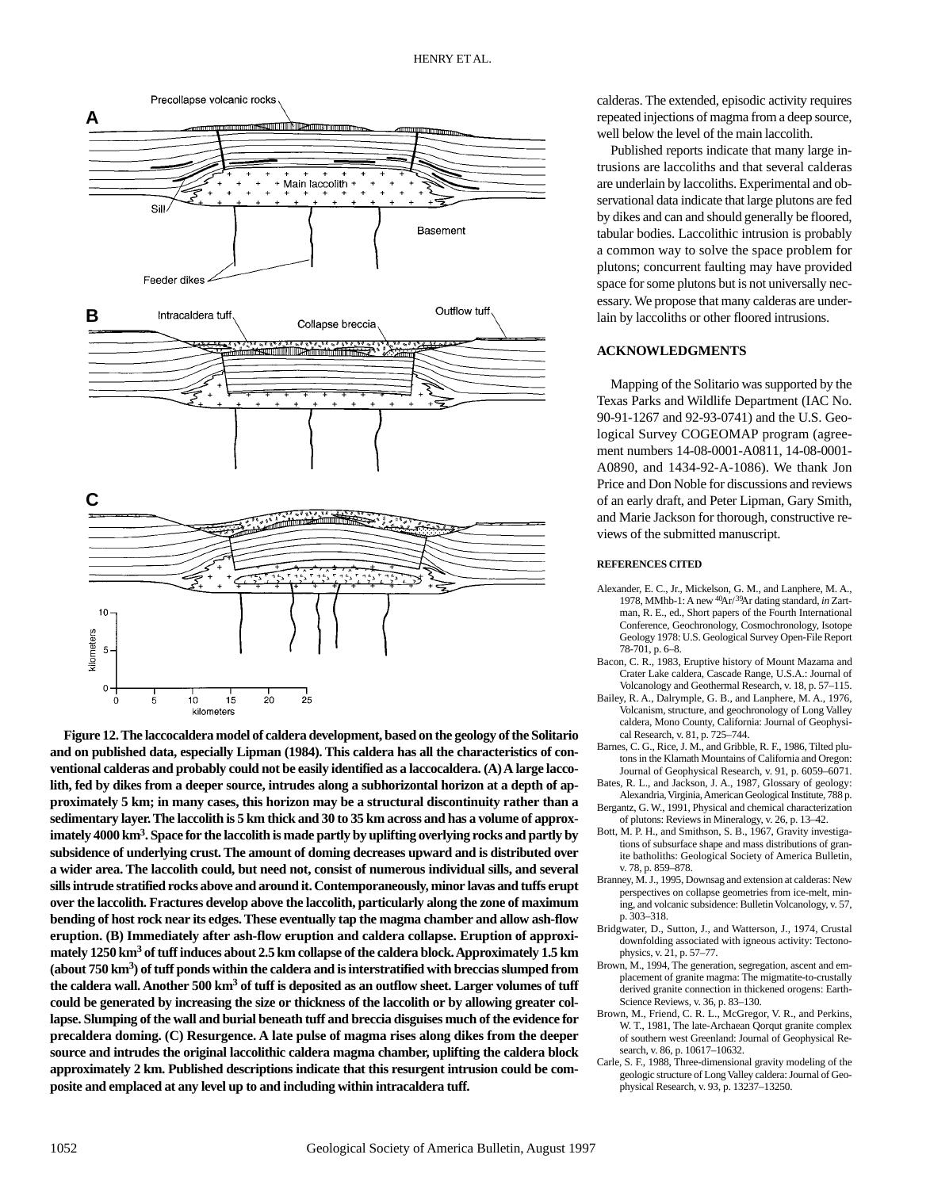

**Figure 12. The laccocaldera model of caldera development, based on the geology of the Solitario and on published data, especially Lipman (1984). This caldera has all the characteristics of conventional calderas and probably could not be easily identified as a laccocaldera. (A) A large laccolith, fed by dikes from a deeper source, intrudes along a subhorizontal horizon at a depth of approximately 5 km; in many cases, this horizon may be a structural discontinuity rather than a sedimentary layer. The laccolith is 5 km thick and 30 to 35 km across and has a volume of approximately 4000 km3. Space for the laccolith is made partly by uplifting overlying rocks and partly by subsidence of underlying crust. The amount of doming decreases upward and is distributed over a wider area. The laccolith could, but need not, consist of numerous individual sills, and several sills intrude stratified rocks above and around it. Contemporaneously, minor lavas and tuffs erupt over the laccolith. Fractures develop above the laccolith, particularly along the zone of maximum bending of host rock near its edges. These eventually tap the magma chamber and allow ash-flow eruption. (B) Immediately after ash-flow eruption and caldera collapse. Eruption of approximately 1250 km3 of tuff induces about 2.5 km collapse of the caldera block. Approximately 1.5 km (about 750 km3) of tuff ponds within the caldera and is interstratified with breccias slumped from the caldera wall. Another 500 km3 of tuff is deposited as an outflow sheet. Larger volumes of tuff could be generated by increasing the size or thickness of the laccolith or by allowing greater collapse. Slumping of the wall and burial beneath tuff and breccia disguises much of the evidence for precaldera doming. (C) Resurgence. A late pulse of magma rises along dikes from the deeper source and intrudes the original laccolithic caldera magma chamber, uplifting the caldera block approximately 2 km. Published descriptions indicate that this resurgent intrusion could be composite and emplaced at any level up to and including within intracaldera tuff.**

calderas. The extended, episodic activity requires repeated injections of magma from a deep source, well below the level of the main laccolith.

Published reports indicate that many large intrusions are laccoliths and that several calderas are underlain by laccoliths. Experimental and observational data indicate that large plutons are fed by dikes and can and should generally be floored, tabular bodies. Laccolithic intrusion is probably a common way to solve the space problem for plutons; concurrent faulting may have provided space for some plutons but is not universally necessary. We propose that many calderas are underlain by laccoliths or other floored intrusions.

## **ACKNOWLEDGMENTS**

Mapping of the Solitario was supported by the Texas Parks and Wildlife Department (IAC No. 90-91-1267 and 92-93-0741) and the U.S. Geological Survey COGEOMAP program (agreement numbers 14-08-0001-A0811, 14-08-0001- A0890, and 1434-92-A-1086). We thank Jon Price and Don Noble for discussions and reviews of an early draft, and Peter Lipman, Gary Smith, and Marie Jackson for thorough, constructive reviews of the submitted manuscript.

#### **REFERENCES CITED**

- Alexander, E. C., Jr., Mickelson, G. M., and Lanphere, M. A., 1978, MMhb-1:A new 40 Ar/<sup>39</sup> Ar dating standard, *in* Zartman, R. E., ed., Short papers of the Fourth International Conference, Geochronology, Cosmochronology, Isotope Geology 1978: U.S. Geological Survey Open-File Report 78-701, p. 6–8.
- Bacon, C. R., 1983, Eruptive history of Mount Mazama and Crater Lake caldera, Cascade Range, U.S.A.: Journal of Volcanology and Geothermal Research, v. 18, p. 57–115.
- Bailey, R. A., Dalrymple, G. B., and Lanphere, M. A., 1976, Volcanism, structure, and geochronology of Long Valley caldera, Mono County, California: Journal of Geophysical Research, v. 81, p. 725–744.
- Barnes, C. G., Rice, J. M., and Gribble, R. F., 1986, Tilted plutons in the Klamath Mountains of California and Oregon: Journal of Geophysical Research, v. 91, p. 6059–6071.
- Bates, R. L., and Jackson, J. A., 1987, Glossary of geology: Alexandria,Virginia,American Geological Institute, 788 p. Bergantz, G. W., 1991, Physical and chemical characterization
- of plutons: Reviews in Mineralogy, v. 26, p. 13–42. Bott, M. P. H., and Smithson, S. B., 1967, Gravity investigations of subsurface shape and mass distributions of granite batholiths: Geological Society of America Bulletin, v. 78, p. 859–878.
- Branney, M.J., 1995, Downsag and extension at calderas: New perspectives on collapse geometries from ice-melt, mining, and volcanic subsidence: Bulletin Volcanology, v. 57, p. 303–318.
- Bridgwater, D., Sutton, J., and Watterson, J., 1974, Crustal downfolding associated with igneous activity: Tectonophysics, v. 21, p. 57–77.
- Brown, M., 1994, The generation, segregation, ascent and emplacement of granite magma: The migmatite-to-crustally derived granite connection in thickened orogens: Earth-Science Reviews, v. 36, p. 83–130.
- Brown, M., Friend, C. R. L., McGregor, V. R., and Perkins, W. T., 1981, The late-Archaean Qorqut granite complex of southern west Greenland: Journal of Geophysical Research, v. 86, p. 10617–10632.
- Carle, S. F., 1988, Three-dimensional gravity modeling of the geologic structure of Long Valley caldera:Journal of Geophysical Research, v. 93, p. 13237–13250.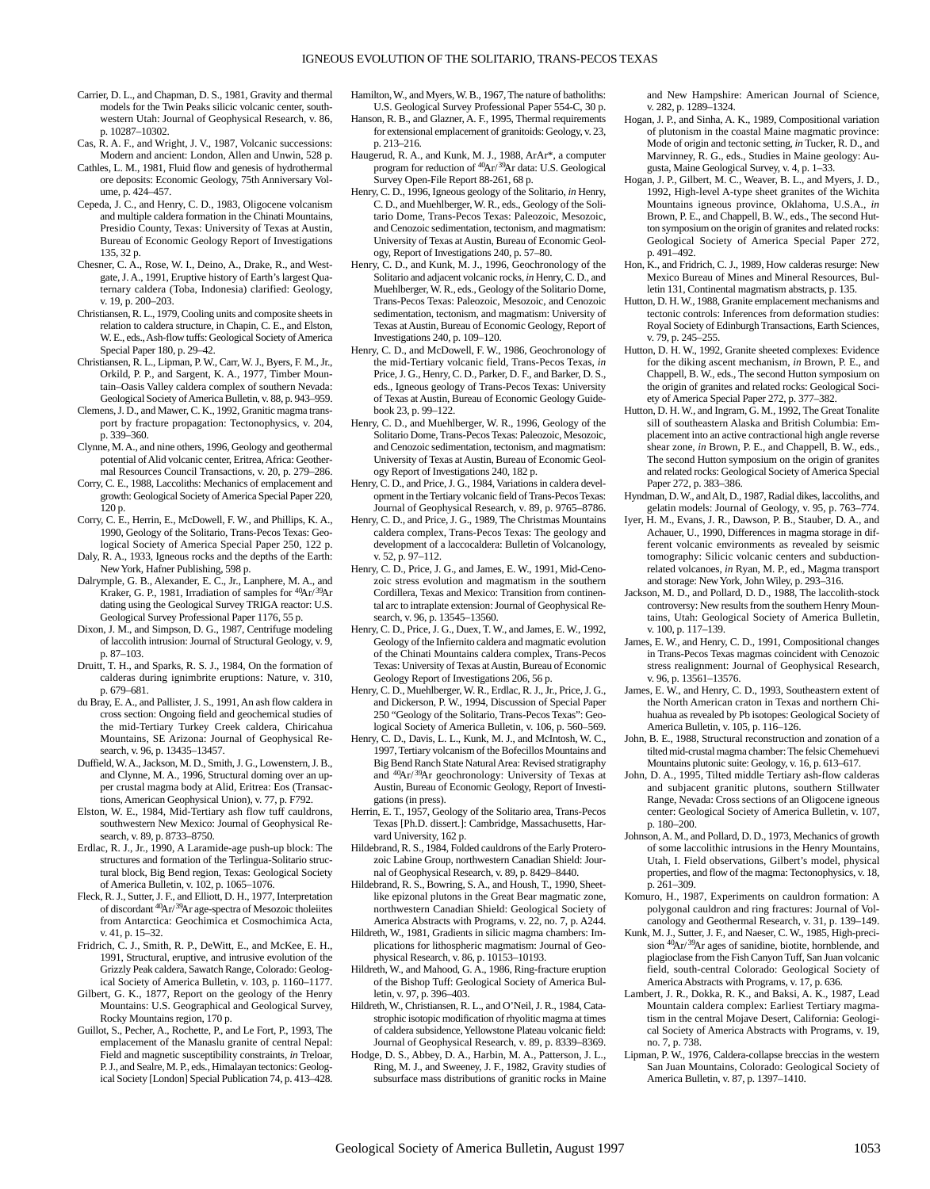- Carrier, D. L., and Chapman, D. S., 1981, Gravity and thermal models for the Twin Peaks silicic volcanic center, southwestern Utah: Journal of Geophysical Research, v. 86, p. 10287–10302.
- Cas, R. A. F., and Wright, J. V., 1987, Volcanic successions: Modern and ancient: London, Allen and Unwin, 528 p.
- Cathles, L. M., 1981, Fluid flow and genesis of hydrothermal ore deposits: Economic Geology, 75th Anniversary Volume, p. 424–457.
- Cepeda, J. C., and Henry, C. D., 1983, Oligocene volcanism and multiple caldera formation in the Chinati Mountains, Presidio County, Texas: University of Texas at Austin, Bureau of Economic Geology Report of Investigations 135, 32 p.
- Chesner, C. A., Rose, W. I., Deino, A., Drake, R., and Westgate, J.A., 1991, Eruptive history of Earth's largest Quaternary caldera (Toba, Indonesia) clarified: Geology, v. 19, p. 200–203.
- Christiansen, R. L., 1979,Cooling units and composite sheets in relation to caldera structure, in Chapin, C. E., and Elston, W. E., eds.,Ash-flow tuffs: Geological Society of America Special Paper 180, p. 29–42.
- Christiansen, R. L., Lipman, P. W., Carr, W. J., Byers, F. M., Jr., Orkild, P. P., and Sargent, K. A., 1977, Timber Mountain–Oasis Valley caldera complex of southern Nevada: Geological Society of America Bulletin, v. 88, p. 943–959.
- Clemens,J. D., and Mawer, C. K., 1992, Granitic magma transport by fracture propagation: Tectonophysics, v. 204, p. 339–360.
- Clynne, M.A., and nine others, 1996, Geology and geothermal potential of Alid volcanic center, Eritrea, Africa: Geothermal Resources Council Transactions, v. 20, p. 279–286.
- Corry, C. E., 1988, Laccoliths: Mechanics of emplacement and growth: Geological Society of America Special Paper 220, 120 p.
- Corry, C. E., Herrin, E., McDowell, F. W., and Phillips, K. A., 1990, Geology of the Solitario, Trans-Pecos Texas: Geological Society of America Special Paper 250, 122 p.
- Daly, R. A., 1933, Igneous rocks and the depths of the Earth: New York, Hafner Publishing, 598 p.
- Dalrymple, G. B., Alexander, E. C., Jr., Lanphere, M. A., and Kraker, G. P., 1981, Irradiation of samples for <sup>40</sup>Ar/<sup>39</sup>Ar dating using the Geological Survey TRIGA reactor: U.S. Geological Survey Professional Paper 1176, 55 p.
- Dixon, J. M., and Simpson, D. G., 1987, Centrifuge modeling of laccolith intrusion: Journal of Structural Geology, v. 9, p. 87–103.
- Druitt, T. H., and Sparks, R. S. J., 1984, On the formation of calderas during ignimbrite eruptions: Nature, v. 310, p. 679–681.
- du Bray, E.A., and Pallister, J. S., 1991,An ash flow caldera in cross section: Ongoing field and geochemical studies of the mid-Tertiary Turkey Creek caldera, Chiricahua Mountains, SE Arizona: Journal of Geophysical Research, v. 96, p. 13435–13457.
- Duffield, W. A., Jackson, M. D., Smith, J. G., Lowenstern, J. B., and Clynne, M. A., 1996, Structural doming over an upper crustal magma body at Alid, Eritrea: Eos (Transactions, American Geophysical Union), v. 77, p. F792.
- Elston, W. E., 1984, Mid-Tertiary ash flow tuff cauldrons, southwestern New Mexico: Journal of Geophysical Research, v. 89, p. 8733–8750.
- Erdlac, R. J., Jr., 1990, A Laramide-age push-up block: The structures and formation of the Terlingua-Solitario structural block, Big Bend region, Texas: Geological Society of America Bulletin, v. 102, p. 1065–1076.
- Fleck, R.J., Sutter,J. F., and Elliott, D. H., 1977, Interpretation of discordant <sup>40</sup>Ar/<sup>39</sup>Ar age-spectra of Mesozoic tholeiites from Antarctica: Geochimica et Cosmochimica Acta, v. 41, p. 15–32.
- Fridrich, C. J., Smith, R. P., DeWitt, E., and McKee, E. H., 1991, Structural, eruptive, and intrusive evolution of the Grizzly Peak caldera, Sawatch Range, Colorado: Geological Society of America Bulletin, v. 103, p. 1160–1177.
- Gilbert, G. K., 1877, Report on the geology of the Henry Mountains: U.S. Geographical and Geological Survey, Rocky Mountains region, 170 p.
- Guillot, S., Pecher, A., Rochette, P., and Le Fort, P., 1993, The emplacement of the Manaslu granite of central Nepal: Field and magnetic susceptibility constraints, *in* Treloar, P.J., and Sealre, M. P., eds., Himalayan tectonics: Geological Society [London] Special Publication 74, p. 413–428.

Hamilton, W., and Myers, W.B., 1967, The nature of batholiths: U.S. Geological Survey Professional Paper 554-C, 30 p.

- Hanson, R. B., and Glazner, A. F., 1995, Thermal requirements for extensional emplacement of granitoids: Geology, v. 23, p. 213–216.
- Haugerud, R. A., and Kunk, M. J., 1988, ArAr\*, a computer program for reduction of <sup>40</sup>Ar/<sup>39</sup>Ar data: U.S. Geological Survey Open-File Report 88-261, 68 p.
- Henry, C. D., 1996, Igneous geology of the Solitario, *in* Henry, C. D., and Muehlberger, W. R., eds., Geology of the Solitario Dome, Trans-Pecos Texas: Paleozoic, Mesozoic, and Cenozoic sedimentation, tectonism, and magmatism: University of Texas at Austin, Bureau of Economic Geology, Report of Investigations 240, p. 57–80.
- Henry, C. D., and Kunk, M. J., 1996, Geochronology of the Solitario and adjacent volcanic rocks, *in* Henry, C. D., and Muehlberger,W. R., eds., Geology of the Solitario Dome, Trans-Pecos Texas: Paleozoic, Mesozoic, and Cenozoic sedimentation, tectonism, and magmatism: University of Texas at Austin, Bureau of Economic Geology, Report of Investigations 240, p. 109–120.
- Henry, C. D., and McDowell, F. W., 1986, Geochronology of the mid-Tertiary volcanic field, Trans-Pecos Texas, *in* Price,J. G., Henry, C. D., Parker, D. F., and Barker, D. S., eds., Igneous geology of Trans-Pecos Texas: University of Texas at Austin, Bureau of Economic Geology Guidebook 23, p. 99–122.
- Henry, C. D., and Muehlberger, W. R., 1996, Geology of the Solitario Dome, Trans-Pecos Texas: Paleozoic, Mesozoic, and Cenozoic sedimentation, tectonism, and magmatism: University of Texas at Austin, Bureau of Economic Geology Report of Investigations 240, 182 p.
- Henry, C. D., and Price, J. G., 1984, Variations in caldera development in the Tertiary volcanic field of Trans-Pecos Texas: Journal of Geophysical Research, v. 89, p. 9765–8786.
- Henry, C. D., and Price, J. G., 1989, The Christmas Mountains caldera complex, Trans-Pecos Texas: The geology and development of a laccocaldera: Bulletin of Volcanology, v. 52, p. 97–112.
- Henry, C. D., Price, J. G., and James, E. W., 1991, Mid-Cenozoic stress evolution and magmatism in the southern Cordillera, Texas and Mexico: Transition from continental arc to intraplate extension: Journal of Geophysical Research, v. 96, p. 13545–13560.
- Henry, C. D., Price, J. G., Duex, T. W., and James, E. W., 1992, Geology of the Infiernito caldera and magmatic evolution of the Chinati Mountains caldera complex, Trans-Pecos Texas: University of Texas at Austin, Bureau of Economic Geology Report of Investigations 206, 56 p.
- Henry, C. D., Muehlberger,W. R., Erdlac, R.J.,Jr., Price,J. G., and Dickerson, P. W., 1994, Discussion of Special Paper 250 "Geology of the Solitario, Trans-Pecos Texas": Geological Society of America Bulletin, v. 106, p. 560–569.
- Henry, C. D., Davis, L. L., Kunk, M. J., and McIntosh, W. C., 1997, Tertiary volcanism of the Bofecillos Mountains and Big Bend Ranch State Natural Area: Revised stratigraphy and <sup>40</sup> Ar/ <sup>39</sup> Ar geochronology: University of Texas at Austin, Bureau of Economic Geology, Report of Investigations (in press).
- Herrin, E. T., 1957, Geology of the Solitario area, Trans-Pecos Texas [Ph.D. dissert.]: Cambridge, Massachusetts, Harvard University, 162 p.
- Hildebrand, R. S., 1984, Folded cauldrons of the Early Proterozoic Labine Group, northwestern Canadian Shield: Journal of Geophysical Research, v. 89, p. 8429–8440.
- Hildebrand, R. S., Bowring, S. A., and Housh, T., 1990, Sheetlike epizonal plutons in the Great Bear magmatic zone, northwestern Canadian Shield: Geological Society of America Abstracts with Programs, v. 22, no. 7, p. A244.
- Hildreth, W., 1981, Gradients in silicic magma chambers: Implications for lithospheric magmatism: Journal of Geophysical Research, v. 86, p. 10153–10193.
- Hildreth, W., and Mahood, G. A., 1986, Ring-fracture eruption of the Bishop Tuff: Geological Society of America Bulletin, v. 97, p. 396–403.
- Hildreth, W., Christiansen, R. L., and O'Neil, J. R., 1984, Catastrophic isotopic modification of rhyolitic magma at times of caldera subsidence,Yellowstone Plateau volcanic field: Journal of Geophysical Research, v. 89, p. 8339–8369.
- Hodge, D. S., Abbey, D. A., Harbin, M. A., Patterson, J. L., Ring, M. J., and Sweeney, J. F., 1982, Gravity studies of subsurface mass distributions of granitic rocks in Maine

and New Hampshire: American Journal of Science, v. 282, p. 1289–1324.

- Hogan, J. P., and Sinha, A. K., 1989, Compositional variation of plutonism in the coastal Maine magmatic province: Mode of origin and tectonic setting, *in* Tucker, R. D., and Marvinney, R. G., eds., Studies in Maine geology: Augusta, Maine Geological Survey, v. 4, p. 1–33.
- Hogan, J. P., Gilbert, M. C., Weaver, B. L., and Myers, J. D., 1992, High-level A-type sheet granites of the Wichita Mountains igneous province, Oklahoma, U.S.A., *in* Brown, P. E., and Chappell, B. W., eds., The second Hutton symposium on the origin of granites and related rocks: Geological Society of America Special Paper 272, p. 491–492.
- Hon, K., and Fridrich, C. J., 1989, How calderas resurge: New Mexico Bureau of Mines and Mineral Resources, Bulletin 131, Continental magmatism abstracts, p. 135.
- Hutton, D. H.W., 1988, Granite emplacement mechanisms and tectonic controls: Inferences from deformation studies: Royal Society of Edinburgh Transactions, Earth Sciences, v. 79, p. 245–255.
- Hutton, D. H. W., 1992, Granite sheeted complexes: Evidence for the diking ascent mechanism, *in* Brown, P. E., and Chappell, B. W., eds., The second Hutton symposium on the origin of granites and related rocks: Geological Society of America Special Paper 272, p. 377–382.
- Hutton, D. H.W., and Ingram, G. M., 1992, The Great Tonalite sill of southeastern Alaska and British Columbia: Emplacement into an active contractional high angle reverse shear zone, *in* Brown, P. E., and Chappell, B. W., eds., The second Hutton symposium on the origin of granites and related rocks: Geological Society of America Special Paper 272, p. 383–386.
- Hyndman, D.W., and Alt, D., 1987, Radial dikes, laccoliths, and gelatin models: Journal of Geology, v. 95, p. 763–774.
- Iyer, H. M., Evans, J. R., Dawson, P. B., Stauber, D. A., and Achauer, U., 1990, Differences in magma storage in different volcanic environments as revealed by seismic tomography: Silicic volcanic centers and subductionrelated volcanoes, *in* Ryan, M. P., ed., Magma transport and storage: New York, John Wiley, p. 293–316.
- Jackson, M. D., and Pollard, D. D., 1988, The laccolith-stock controversy: New results from the southern Henry Mountains, Utah: Geological Society of America Bulletin, v. 100, p. 117–139.
- James, E. W., and Henry, C. D., 1991, Compositional changes in Trans-Pecos Texas magmas coincident with Cenozoic stress realignment: Journal of Geophysical Research, v. 96, p. 13561–13576.
- James, E. W., and Henry, C. D., 1993, Southeastern extent of the North American craton in Texas and northern Chihuahua as revealed by Pb isotopes: Geological Society of America Bulletin, v. 105, p. 116–126.
- John, B. E., 1988, Structural reconstruction and zonation of a tilted mid-crustal magma chamber: The felsic Chemehuevi Mountains plutonic suite: Geology, v. 16, p. 613–617.
- John, D. A., 1995, Tilted middle Tertiary ash-flow calderas and subjacent granitic plutons, southern Stillwater Range, Nevada: Cross sections of an Oligocene igneous center: Geological Society of America Bulletin, v. 107, p. 180–200.
- Johnson,A. M., and Pollard, D. D., 1973, Mechanics of growth of some laccolithic intrusions in the Henry Mountains, Utah, I. Field observations, Gilbert's model, physical properties, and flow of the magma: Tectonophysics, v. 18, p. 261–309.
- Komuro, H., 1987, Experiments on cauldron formation: A polygonal cauldron and ring fractures: Journal of Volcanology and Geothermal Research, v. 31, p. 139–149.
- Kunk, M. J., Sutter, J. F., and Naeser, C. W., 1985, High-precision <sup>40</sup>Ar/<sup>39</sup>Ar ages of sanidine, biotite, hornblende, and plagioclase from the Fish Canyon Tuff, San Juan volcanic field, south-central Colorado: Geological Society of America Abstracts with Programs, v. 17, p. 636.
- Lambert, J. R., Dokka, R. K., and Baksi, A. K., 1987, Lead Mountain caldera complex: Earliest Tertiary magmatism in the central Mojave Desert, California: Geological Society of America Abstracts with Programs, v. 19, no. 7, p. 738.
- Lipman, P. W., 1976, Caldera-collapse breccias in the western San Juan Mountains, Colorado: Geological Society of America Bulletin, v. 87, p. 1397–1410.